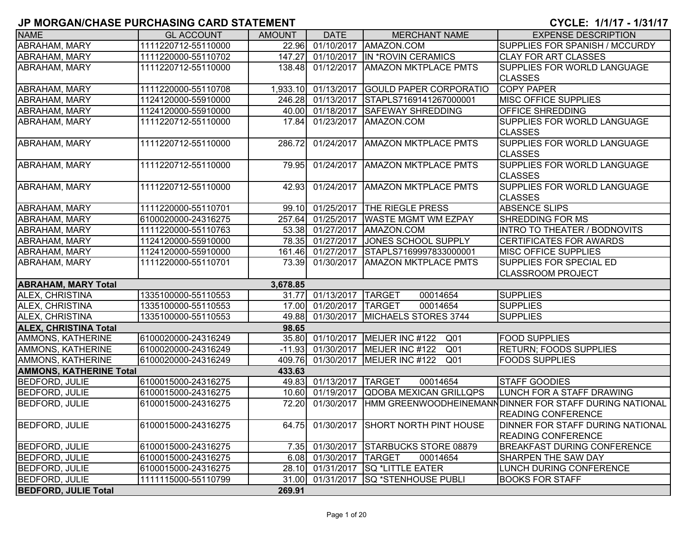## **JP MORGAN/CHASE PURCHASING CARD STATEMENT CYCLE: 1/1/17 - 1/31/17**

| <b>NAME</b>                    | <b>GL ACCOUNT</b>   | <b>AMOUNT</b> | <b>DATE</b>             | <b>MERCHANT NAME</b>                    | <b>EXPENSE DESCRIPTION</b>                              |
|--------------------------------|---------------------|---------------|-------------------------|-----------------------------------------|---------------------------------------------------------|
| ABRAHAM, MARY                  | 1111220712-55110000 | 22.96         | 01/10/2017              | AMAZON.COM                              | SUPPLIES FOR SPANISH / MCCURDY                          |
| <b>ABRAHAM, MARY</b>           | 1111220000-55110702 | 147.27        | 01/10/2017              | IN *ROVIN CERAMICS                      | <b>CLAY FOR ART CLASSES</b>                             |
| <b>ABRAHAM, MARY</b>           | 1111220712-55110000 | 138.48        | 01/12/2017              | <b>AMAZON MKTPLACE PMTS</b>             | SUPPLIES FOR WORLD LANGUAGE                             |
|                                |                     |               |                         |                                         | <b>CLASSES</b>                                          |
| ABRAHAM, MARY                  | 1111220000-55110708 | 1,933.10      | 01/13/2017              | <b>GOULD PAPER CORPORATIO</b>           | <b>COPY PAPER</b>                                       |
| <b>ABRAHAM, MARY</b>           | 1124120000-55910000 | 246.28        | 01/13/2017              | STAPLS7169141267000001                  | <b>MISC OFFICE SUPPLIES</b>                             |
| <b>ABRAHAM, MARY</b>           | 1124120000-55910000 |               | 40.00 01/18/2017        | <b>SAFEWAY SHREDDING</b>                | <b>OFFICE SHREDDING</b>                                 |
| <b>ABRAHAM, MARY</b>           | 1111220712-55110000 | 17.84         | 01/23/2017              | AMAZON.COM                              | SUPPLIES FOR WORLD LANGUAGE                             |
|                                |                     |               |                         |                                         | <b>CLASSES</b>                                          |
| <b>ABRAHAM, MARY</b>           | 1111220712-55110000 | 286.72        |                         | 01/24/2017   AMAZON MKTPLACE PMTS       | <b>SUPPLIES FOR WORLD LANGUAGE</b>                      |
|                                |                     |               |                         |                                         | <b>CLASSES</b>                                          |
| <b>ABRAHAM, MARY</b>           | 1111220712-55110000 | 79.95         |                         | 01/24/2017   AMAZON MKTPLACE PMTS       | <b>SUPPLIES FOR WORLD LANGUAGE</b>                      |
|                                |                     |               |                         |                                         | <b>CLASSES</b>                                          |
| <b>ABRAHAM, MARY</b>           | 1111220712-55110000 | 42.93         | $\overline{01}/24/2017$ | <b>AMAZON MKTPLACE PMTS</b>             | SUPPLIES FOR WORLD LANGUAGE                             |
|                                |                     |               |                         |                                         | <b>CLASSES</b>                                          |
| <b>ABRAHAM, MARY</b>           | 1111220000-55110701 | 99.10         | 01/25/2017              | <b>THE RIEGLE PRESS</b>                 | <b>ABSENCE SLIPS</b>                                    |
| ABRAHAM, MARY                  | 6100020000-24316275 | 257.64        | 01/25/2017              | <b>WASTE MGMT WM EZPAY</b>              | <b>SHREDDING FOR MS</b>                                 |
| ABRAHAM, MARY                  | 1111220000-55110763 | 53.38         | $\overline{01/27}/2017$ | AMAZON.COM                              | <b>INTRO TO THEATER / BODNOVITS</b>                     |
| <b>ABRAHAM, MARY</b>           | 1124120000-55910000 | 78.35         | 01/27/2017              | JONES SCHOOL SUPPLY                     | <b>CERTIFICATES FOR AWARDS</b>                          |
| <b>ABRAHAM, MARY</b>           | 1124120000-55910000 | 161.46        | 01/27/2017              | STAPLS7169997833000001                  | <b>MISC OFFICE SUPPLIES</b>                             |
| <b>ABRAHAM, MARY</b>           | 1111220000-55110701 | 73.39         | 01/30/2017              | <b>AMAZON MKTPLACE PMTS</b>             | SUPPLIES FOR SPECIAL ED                                 |
|                                |                     |               |                         |                                         | <b>CLASSROOM PROJECT</b>                                |
| <b>ABRAHAM, MARY Total</b>     |                     | 3,678.85      |                         |                                         |                                                         |
| ALEX, CHRISTINA                | 1335100000-55110553 | 31.77         | 01/13/2017              | <b>TARGET</b><br>00014654               | <b>SUPPLIES</b>                                         |
| ALEX, CHRISTINA                | 1335100000-55110553 |               | 17.00 01/20/2017        | <b>TARGET</b><br>00014654               | <b>SUPPLIES</b>                                         |
| ALEX, CHRISTINA                | 1335100000-55110553 | 49.88         | 01/30/2017              | MICHAELS STORES 3744                    | <b>SUPPLIES</b>                                         |
| <b>ALEX, CHRISTINA Total</b>   |                     | 98.65         |                         |                                         |                                                         |
| AMMONS, KATHERINE              | 6100020000-24316249 |               | 35.80 01/10/2017        | MEIJER INC #122 Q01                     | <b>FOOD SUPPLIES</b>                                    |
| AMMONS, KATHERINE              | 6100020000-24316249 |               | $-11.93$ 01/30/2017     | MEIJER INC #122<br>Q <sub>01</sub>      | <b>RETURN; FOODS SUPPLIES</b>                           |
| AMMONS, KATHERINE              | 6100020000-24316249 | 409.76        | 01/30/2017              | Q <sub>01</sub><br>MEIJER INC #122      | <b>FOODS SUPPLIES</b>                                   |
| <b>AMMONS, KATHERINE Total</b> |                     | 433.63        |                         |                                         |                                                         |
| <b>BEDFORD, JULIE</b>          | 6100015000-24316275 |               | 49.83 01/13/2017        | <b>TARGET</b><br>00014654               | <b>STAFF GOODIES</b>                                    |
| <b>BEDFORD, JULIE</b>          | 6100015000-24316275 | 10.60         | 01/19/2017              | QDOBA MEXICAN GRILLQPS                  | LUNCH FOR A STAFF DRAWING                               |
| <b>BEDFORD, JULIE</b>          | 6100015000-24316275 | 72.20         | 01/30/2017              |                                         | HMM GREENWOODHEINEMANN DINNER FOR STAFF DURING NATIONAL |
|                                |                     |               |                         |                                         | <b>READING CONFERENCE</b>                               |
| <b>BEDFORD, JULIE</b>          | 6100015000-24316275 |               |                         | 64.75 01/30/2017 SHORT NORTH PINT HOUSE | DINNER FOR STAFF DURING NATIONAL                        |
|                                |                     |               |                         |                                         | <b>READING CONFERENCE</b>                               |
| <b>BEDFORD, JULIE</b>          | 6100015000-24316275 | 7.35          | 01/30/2017              | <b>STARBUCKS STORE 08879</b>            | <b>BREAKFAST DURING CONFERENCE</b>                      |
| <b>BEDFORD, JULIE</b>          | 6100015000-24316275 | 6.08          | 01/30/2017              | <b>TARGET</b><br>00014654               | SHARPEN THE SAW DAY                                     |
| <b>BEDFORD, JULIE</b>          | 6100015000-24316275 | 28.10         | 01/31/2017              | <b>SQ *LITTLE EATER</b>                 | LUNCH DURING CONFERENCE                                 |
| <b>BEDFORD, JULIE</b>          | 1111115000-55110799 | 31.00         | 01/31/2017              | <b>SQ *STENHOUSE PUBLI</b>              | <b>BOOKS FOR STAFF</b>                                  |
| <b>BEDFORD, JULIE Total</b>    |                     | 269.91        |                         |                                         |                                                         |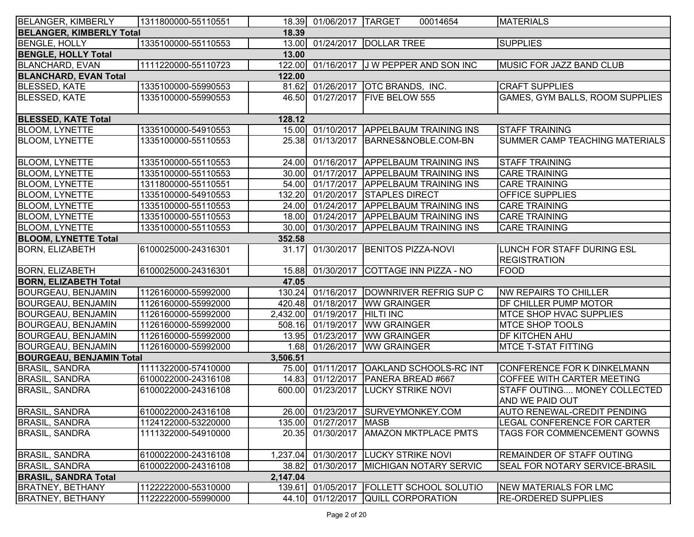| <b>BELANGER, KIMBERLY</b>       | 1311800000-55110551 |          | 18.39 01/06/2017 TARGET | 00014654                                | <b>MATERIALS</b>                      |
|---------------------------------|---------------------|----------|-------------------------|-----------------------------------------|---------------------------------------|
| <b>BELANGER, KIMBERLY Total</b> |                     | 18.39    |                         |                                         |                                       |
| <b>BENGLE, HOLLY</b>            | 1335100000-55110553 |          |                         | 13.00 01/24/2017 DOLLAR TREE            | <b>SUPPLIES</b>                       |
| <b>BENGLE, HOLLY Total</b>      |                     | 13.00    |                         |                                         |                                       |
| <b>BLANCHARD, EVAN</b>          | 1111220000-55110723 | 122.00   |                         | 01/16/2017 J W PEPPER AND SON INC       | MUSIC FOR JAZZ BAND CLUB              |
| <b>BLANCHARD, EVAN Total</b>    |                     | 122.00   |                         |                                         |                                       |
| <b>BLESSED, KATE</b>            | 1335100000-55990553 | 81.62    |                         | 01/26/2017 OTC BRANDS, INC.             | <b>CRAFT SUPPLIES</b>                 |
| <b>BLESSED, KATE</b>            | 1335100000-55990553 |          |                         | 46.50 01/27/2017 FIVE BELOW 555         | GAMES, GYM BALLS, ROOM SUPPLIES       |
|                                 |                     |          |                         |                                         |                                       |
| <b>BLESSED, KATE Total</b>      |                     | 128.12   |                         |                                         |                                       |
| <b>BLOOM, LYNETTE</b>           | 1335100000-54910553 |          | 15.00 01/10/2017        | <b>APPELBAUM TRAINING INS</b>           | <b>STAFF TRAINING</b>                 |
| <b>BLOOM, LYNETTE</b>           | 1335100000-55110553 | 25.38    |                         | 01/13/2017 BARNES&NOBLE.COM-BN          | SUMMER CAMP TEACHING MATERIALS        |
|                                 |                     |          |                         |                                         |                                       |
| <b>BLOOM, LYNETTE</b>           | 1335100000-55110553 |          | 24.00 01/16/2017        | <b>APPELBAUM TRAINING INS</b>           | <b>STAFF TRAINING</b>                 |
| <b>BLOOM, LYNETTE</b>           | 1335100000-55110553 |          |                         | 30.00 01/17/2017 APPELBAUM TRAINING INS | <b>CARE TRAINING</b>                  |
| <b>BLOOM, LYNETTE</b>           | 1311800000-55110551 |          | 54.00 01/17/2017        | <b>APPELBAUM TRAINING INS</b>           | <b>CARE TRAINING</b>                  |
| <b>BLOOM, LYNETTE</b>           | 1335100000-54910553 | 132.20   | 01/20/2017              | <b>STAPLES DIRECT</b>                   | OFFICE SUPPLIES                       |
| <b>BLOOM, LYNETTE</b>           | 1335100000-55110553 | 24.00    | 01/24/2017              | <b>APPELBAUM TRAINING INS</b>           | <b>CARE TRAINING</b>                  |
| <b>BLOOM, LYNETTE</b>           | 1335100000-55110553 |          | 18.00 01/24/2017        | <b>APPELBAUM TRAINING INS</b>           | <b>CARE TRAINING</b>                  |
| <b>BLOOM, LYNETTE</b>           | 1335100000-55110553 | 30.00    | 01/30/2017              | <b>APPELBAUM TRAINING INS</b>           | <b>CARE TRAINING</b>                  |
| <b>BLOOM, LYNETTE Total</b>     |                     | 352.58   |                         |                                         |                                       |
| <b>BORN, ELIZABETH</b>          | 6100025000-24316301 | 31.17    | 01/30/2017              | <b>BENITOS PIZZA-NOVI</b>               | LUNCH FOR STAFF DURING ESL            |
|                                 |                     |          |                         |                                         | <b>REGISTRATION</b>                   |
| <b>BORN, ELIZABETH</b>          | 6100025000-24316301 | 15.88    | 01/30/2017              | COTTAGE INN PIZZA - NO                  | FOOD                                  |
| <b>BORN, ELIZABETH Total</b>    |                     | 47.05    |                         |                                         |                                       |
| <b>BOURGEAU, BENJAMIN</b>       | 1126160000-55992000 | 130.24   | 01/16/2017              | DOWNRIVER REFRIG SUP C                  | NW REPAIRS TO CHILLER                 |
| <b>BOURGEAU, BENJAMIN</b>       | 1126160000-55992000 | 420.48   | 01/18/2017              | <b>WW GRAINGER</b>                      | <b>DF CHILLER PUMP MOTOR</b>          |
| <b>BOURGEAU, BENJAMIN</b>       | 1126160000-55992000 |          | 2,432.00 01/19/2017     | <b>HILTI INC</b>                        | <b>IMTCE SHOP HVAC SUPPLIES</b>       |
| <b>BOURGEAU, BENJAMIN</b>       | 1126160000-55992000 | 508.16   | 01/19/2017              | <b>WW GRAINGER</b>                      | <b>MTCE SHOP TOOLS</b>                |
| <b>BOURGEAU, BENJAMIN</b>       | 1126160000-55992000 | 13.95    | 01/23/2017              | <b>WW GRAINGER</b>                      | <b>DF KITCHEN AHU</b>                 |
| <b>BOURGEAU, BENJAMIN</b>       | 1126160000-55992000 | 1.68     | 01/26/2017              | <b>WW GRAINGER</b>                      | <b>MTCE T-STAT FITTING</b>            |
| <b>BOURGEAU, BENJAMIN Total</b> |                     | 3,506.51 |                         |                                         |                                       |
| <b>BRASIL, SANDRA</b>           | 1111322000-57410000 |          |                         | 75.00 01/11/2017 OAKLAND SCHOOLS-RC INT | CONFERENCE FOR K DINKELMANN           |
| <b>BRASIL, SANDRA</b>           | 6100022000-24316108 | 14.83    |                         | 01/12/2017 PANERA BREAD #667            | COFFEE WITH CARTER MEETING            |
| <b>BRASIL, SANDRA</b>           | 6100022000-24316108 | 600.00   | 01/23/2017              | <b>LUCKY STRIKE NOVI</b>                | STAFF OUTING MONEY COLLECTED          |
|                                 |                     |          |                         |                                         | AND WE PAID OUT                       |
| <b>BRASIL, SANDRA</b>           | 6100022000-24316108 |          |                         | 26.00 01/23/2017 SURVEYMONKEY.COM       | <b>AUTO RENEWAL-CREDIT PENDING</b>    |
| <b>BRASIL, SANDRA</b>           | 1124122000-53220000 |          | 135.00 01/27/2017 MASB  |                                         | LEGAL CONFERENCE FOR CARTER           |
| <b>BRASIL, SANDRA</b>           | 1111322000-54910000 | 20.35    | 01/30/2017              | <b>AMAZON MKTPLACE PMTS</b>             | TAGS FOR COMMENCEMENT GOWNS           |
|                                 |                     |          |                         |                                         |                                       |
| <b>BRASIL, SANDRA</b>           | 6100022000-24316108 | 1,237.04 |                         | 01/30/2017 LUCKY STRIKE NOVI            | <b>REMAINDER OF STAFF OUTING</b>      |
| <b>BRASIL, SANDRA</b>           | 6100022000-24316108 | 38.82    | 01/30/2017              | <b>MICHIGAN NOTARY SERVIC</b>           | <b>SEAL FOR NOTARY SERVICE-BRASIL</b> |
| <b>BRASIL, SANDRA Total</b>     |                     | 2,147.04 |                         |                                         |                                       |
| <b>BRATNEY, BETHANY</b>         | 1122222000-55310000 | 139.61   | 01/05/2017              | <b>FOLLETT SCHOOL SOLUTIO</b>           | NEW MATERIALS FOR LMC                 |
| <b>BRATNEY, BETHANY</b>         | 1122222000-55990000 | 44.10    |                         | 01/12/2017 QUILL CORPORATION            | <b>RE-ORDERED SUPPLIES</b>            |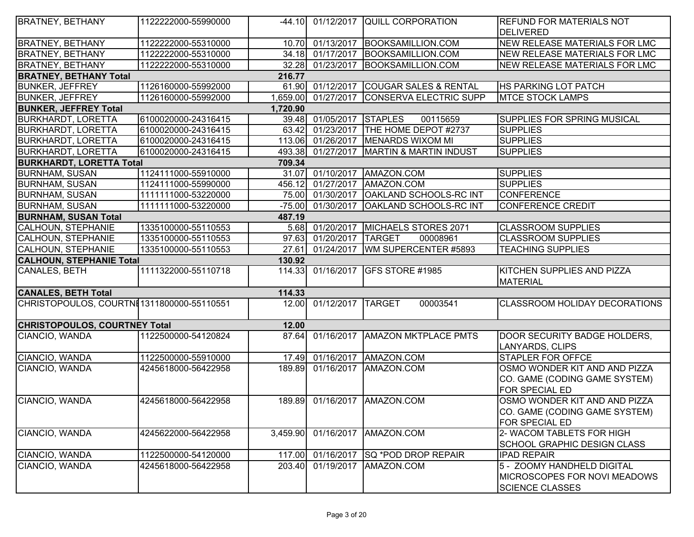| <b>BRATNEY, BETHANY</b>                    | 1122222000-55990000 |          |                   | -44.10 01/12/2017 QUILL CORPORATION    | <b>REFUND FOR MATERIALS NOT</b>                                                             |
|--------------------------------------------|---------------------|----------|-------------------|----------------------------------------|---------------------------------------------------------------------------------------------|
|                                            |                     |          |                   |                                        | <b>DELIVERED</b>                                                                            |
| <b>BRATNEY, BETHANY</b>                    | 1122222000-55310000 | 10.70    | 01/13/2017        | BOOKSAMILLION.COM                      | <b>NEW RELEASE MATERIALS FOR LMC</b>                                                        |
| <b>BRATNEY, BETHANY</b>                    | 1122222000-55310000 | 34.18    | 01/17/2017        | BOOKSAMILLION.COM                      | <b>NEW RELEASE MATERIALS FOR LMC</b>                                                        |
| <b>BRATNEY, BETHANY</b>                    | 1122222000-55310000 |          | 32.28 01/23/2017  | BOOKSAMILLION.COM                      | NEW RELEASE MATERIALS FOR LMC                                                               |
| <b>BRATNEY, BETHANY Total</b>              |                     | 216.77   |                   |                                        |                                                                                             |
| <b>BUNKER, JEFFREY</b>                     | 1126160000-55992000 |          |                   | 61.90 01/12/2017 COUGAR SALES & RENTAL | <b>HS PARKING LOT PATCH</b>                                                                 |
| <b>BUNKER, JEFFREY</b>                     | 1126160000-55992000 | 1,659.00 | 01/27/2017        | CONSERVA ELECTRIC SUPP                 | <b>MTCE STOCK LAMPS</b>                                                                     |
| <b>BUNKER, JEFFREY Total</b>               |                     | 1,720.90 |                   |                                        |                                                                                             |
| <b>BURKHARDT, LORETTA</b>                  | 6100020000-24316415 | 39.48    | 01/05/2017        | <b>STAPLES</b><br>00115659             | <b>SUPPLIES FOR SPRING MUSICAL</b>                                                          |
| <b>BURKHARDT, LORETTA</b>                  | 6100020000-24316415 |          |                   | 63.42 01/23/2017 THE HOME DEPOT #2737  | <b>SUPPLIES</b>                                                                             |
| <b>BURKHARDT, LORETTA</b>                  | 6100020000-24316415 |          | 113.06 01/26/2017 | MENARDS WIXOM MI                       | <b>SUPPLIES</b>                                                                             |
| <b>BURKHARDT, LORETTA</b>                  | 6100020000-24316415 | 493.38   | 01/27/2017        | MARTIN & MARTIN INDUST                 | <b>SUPPLIES</b>                                                                             |
| <b>BURKHARDT, LORETTA Total</b>            |                     | 709.34   |                   |                                        |                                                                                             |
| <b>BURNHAM, SUSAN</b>                      | 1124111000-55910000 |          |                   | 31.07 01/10/2017 AMAZON.COM            | <b>SUPPLIES</b>                                                                             |
| <b>BURNHAM, SUSAN</b>                      | 1124111000-55990000 | 456.12   | 01/27/2017        | AMAZON.COM                             | <b>SUPPLIES</b>                                                                             |
| <b>BURNHAM, SUSAN</b>                      | 1111111000-53220000 |          | 75.00 01/30/2017  | <b>OAKLAND SCHOOLS-RC INT</b>          | <b>CONFERENCE</b>                                                                           |
| <b>BURNHAM, SUSAN</b>                      | 1111111000-53220000 | $-75.00$ | 01/30/2017        | OAKLAND SCHOOLS-RC INT                 | <b>CONFERENCE CREDIT</b>                                                                    |
| <b>BURNHAM, SUSAN Total</b>                |                     | 487.19   |                   |                                        |                                                                                             |
| CALHOUN, STEPHANIE                         | 1335100000-55110553 | 5.68     | 01/20/2017        | MICHAELS STORES 2071                   | <b>CLASSROOM SUPPLIES</b>                                                                   |
| <b>CALHOUN, STEPHANIE</b>                  | 1335100000-55110553 | 97.63    | 01/20/2017        | <b>ITARGET</b><br>00008961             | <b>CLASSROOM SUPPLIES</b>                                                                   |
| CALHOUN, STEPHANIE                         | 1335100000-55110553 | 27.61    | 01/24/2017        | WM SUPERCENTER #5893                   | <b>TEACHING SUPPLIES</b>                                                                    |
| <b>CALHOUN, STEPHANIE Total</b>            |                     | 130.92   |                   |                                        |                                                                                             |
| CANALES, BETH                              | 1111322000-55110718 | 114.33   | 01/16/2017        | <b>GFS STORE #1985</b>                 | KITCHEN SUPPLIES AND PIZZA<br><b>MATERIAL</b>                                               |
| <b>CANALES, BETH Total</b>                 |                     | 114.33   |                   |                                        |                                                                                             |
| CHRISTOPOULOS, COURTNE 1311800000-55110551 |                     | 12.00    | 01/12/2017        | <b>TARGET</b><br>00003541              | <b>CLASSROOM HOLIDAY DECORATIONS</b>                                                        |
| <b>CHRISTOPOULOS, COURTNEY Total</b>       |                     | 12.00    |                   |                                        |                                                                                             |
| CIANCIO, WANDA                             | 1122500000-54120824 | 87.64    | 01/16/2017        | <b>AMAZON MKTPLACE PMTS</b>            | DOOR SECURITY BADGE HOLDERS,<br>LANYARDS, CLIPS                                             |
| CIANCIO, WANDA                             | 1122500000-55910000 |          |                   | 17.49 01/16/2017 AMAZON.COM            | <b>STAPLER FOR OFFCE</b>                                                                    |
| CIANCIO, WANDA                             | 4245618000-56422958 | 189.89   | 01/16/2017        | AMAZON.COM                             | OSMO WONDER KIT AND AND PIZZA<br>CO. GAME (CODING GAME SYSTEM)<br>FOR SPECIAL ED            |
| CIANCIO, WANDA                             | 4245618000-56422958 |          |                   | 189.89 01/16/2017 AMAZON.COM           | OSMO WONDER KIT AND AND PIZZA<br>CO. GAME (CODING GAME SYSTEM)<br><b>FOR SPECIAL ED</b>     |
| CIANCIO, WANDA                             | 4245622000-56422958 | 3,459.90 | 01/16/2017        | AMAZON.COM                             | 2- WACOM TABLETS FOR HIGH<br><b>SCHOOL GRAPHIC DESIGN CLASS</b>                             |
| CIANCIO, WANDA                             | 1122500000-54120000 | 117.00   | 01/16/2017        | <b>SQ *POD DROP REPAIR</b>             | <b>IPAD REPAIR</b>                                                                          |
| CIANCIO, WANDA                             | 4245618000-56422958 | 203.40   | 01/19/2017        | AMAZON.COM                             | 5 - ZOOMY HANDHELD DIGITAL<br><b>MICROSCOPES FOR NOVI MEADOWS</b><br><b>SCIENCE CLASSES</b> |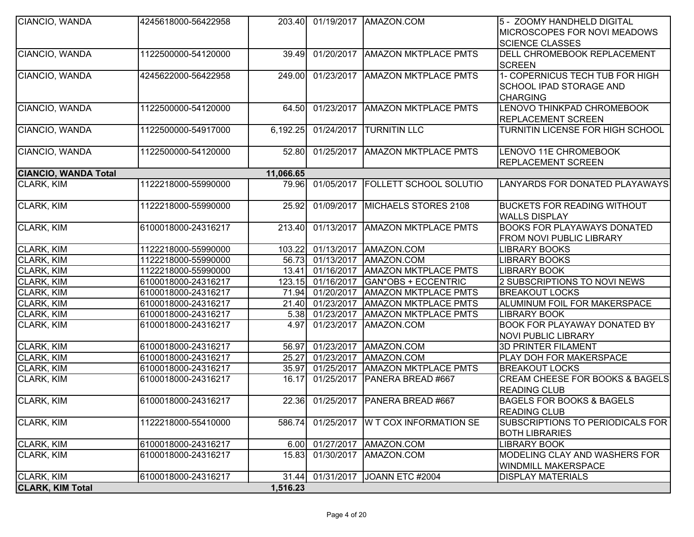| <b>CLARK, KIM Total</b>     |                     | 1,516.23  |            |                                |                                                                               |
|-----------------------------|---------------------|-----------|------------|--------------------------------|-------------------------------------------------------------------------------|
| CLARK, KIM                  | 6100018000-24316217 | 31.44     |            | 01/31/2017 JOANN ETC #2004     | <b>DISPLAY MATERIALS</b>                                                      |
|                             |                     |           |            |                                | <b>WINDMILL MAKERSPACE</b>                                                    |
| CLARK, KIM                  | 6100018000-24316217 | 15.83     | 01/30/2017 | AMAZON.COM                     | MODELING CLAY AND WASHERS FOR                                                 |
| <b>CLARK, KIM</b>           | 6100018000-24316217 | 6.00      | 01/27/2017 | AMAZON.COM                     | <b>LIBRARY BOOK</b>                                                           |
|                             |                     |           |            |                                | <b>BOTH LIBRARIES</b>                                                         |
| <b>CLARK, KIM</b>           | 1122218000-55410000 | 586.74    | 01/25/2017 | <b>W T COX INFORMATION SE</b>  | <b>READING CLUB</b><br>SUBSCRIPTIONS TO PERIODICALS FOR                       |
| CLARK, KIM                  | 6100018000-24316217 | 22.36     |            | 01/25/2017   PANERA BREAD #667 | <b>BAGELS FOR BOOKS &amp; BAGELS</b>                                          |
| CLARK, KIM                  | 6100018000-24316217 | 16.17     | 01/25/2017 | PANERA BREAD #667              | <b>CREAM CHEESE FOR BOOKS &amp; BAGELS</b><br><b>READING CLUB</b>             |
| CLARK, KIM                  | 6100018000-24316217 | 35.97     | 01/25/2017 | <b>AMAZON MKTPLACE PMTS</b>    | <b>BREAKOUT LOCKS</b>                                                         |
| CLARK, KIM                  | 6100018000-24316217 | 25.27     | 01/23/2017 | AMAZON.COM                     | PLAY DOH FOR MAKERSPACE                                                       |
| CLARK, KIM                  | 6100018000-24316217 | 56.97     | 01/23/2017 | AMAZON.COM                     | <b>3D PRINTER FILAMENT</b>                                                    |
| CLARK, KIM                  | 6100018000-24316217 | 4.97      | 01/23/2017 | AMAZON.COM                     | BOOK FOR PLAYAWAY DONATED BY<br><b>NOVI PUBLIC LIBRARY</b>                    |
| CLARK, KIM                  | 6100018000-24316217 | 5.38      | 01/23/2017 | <b>AMAZON MKTPLACE PMTS</b>    | <b>LIBRARY BOOK</b>                                                           |
|                             | 6100018000-24316217 |           |            |                                |                                                                               |
| CLARK, KIM                  | 6100018000-24316217 | 21.40     | 01/23/2017 | <b>AMAZON MKTPLACE PMTS</b>    | ALUMINUM FOIL FOR MAKERSPACE                                                  |
| CLARK, KIM                  |                     | 71.94     | 01/20/2017 | <b>AMAZON MKTPLACE PMTS</b>    | <b>BREAKOUT LOCKS</b>                                                         |
| CLARK, KIM                  | 6100018000-24316217 | 123.15    | 01/16/2017 | GAN*OBS + ECCENTRIC            | 2 SUBSCRIPTIONS TO NOVI NEWS                                                  |
| CLARK, KIM                  | 1122218000-55990000 | 13.41     | 01/16/2017 | <b>AMAZON MKTPLACE PMTS</b>    | <b>LIBRARY BOOK</b>                                                           |
| <b>CLARK, KIM</b>           | 1122218000-55990000 | 56.73     | 01/13/2017 | AMAZON.COM                     | <b>LIBRARY BOOKS</b>                                                          |
| CLARK, KIM                  | 1122218000-55990000 | 103.22    | 01/13/2017 | AMAZON.COM                     | <b>LIBRARY BOOKS</b>                                                          |
| <b>CLARK, KIM</b>           | 6100018000-24316217 | 213.40    | 01/13/2017 | <b>AMAZON MKTPLACE PMTS</b>    | BOOKS FOR PLAYAWAYS DONATED<br>FROM NOVI PUBLIC LIBRARY                       |
| <b>CLARK, KIM</b>           | 1122218000-55990000 | 25.92     | 01/09/2017 | MICHAELS STORES 2108           | <b>BUCKETS FOR READING WITHOUT</b><br><b>WALLS DISPLAY</b>                    |
| CLARK, KIM                  | 1122218000-55990000 | 79.96     | 01/05/2017 | <b>FOLLETT SCHOOL SOLUTIO</b>  | LANYARDS FOR DONATED PLAYAWAYS                                                |
| <b>CIANCIO, WANDA Total</b> |                     | 11,066.65 |            |                                |                                                                               |
| CIANCIO, WANDA              | 1122500000-54120000 | 52.80     | 01/25/2017 | <b>AMAZON MKTPLACE PMTS</b>    | LENOVO 11E CHROMEBOOK<br>REPLACEMENT SCREEN                                   |
| CIANCIO, WANDA              | 1122500000-54917000 | 6,192.25  | 01/24/2017 | <b>TURNITIN LLC</b>            | TURNITIN LICENSE FOR HIGH SCHOOL                                              |
| CIANCIO, WANDA              | 1122500000-54120000 | 64.50     | 01/23/2017 | <b>AMAZON MKTPLACE PMTS</b>    | LENOVO THINKPAD CHROMEBOOK<br><b>REPLACEMENT SCREEN</b>                       |
| CIANCIO, WANDA              | 4245622000-56422958 | 249.00    | 01/23/2017 | <b>AMAZON MKTPLACE PMTS</b>    | 1- COPERNICUS TECH TUB FOR HIGH<br>SCHOOL IPAD STORAGE AND<br><b>CHARGING</b> |
| CIANCIO, WANDA              | 1122500000-54120000 | 39.49     | 01/20/2017 | <b>AMAZON MKTPLACE PMTS</b>    | DELL CHROMEBOOK REPLACEMENT<br><b>SCREEN</b>                                  |
|                             |                     |           |            |                                | MICROSCOPES FOR NOVI MEADOWS<br><b>SCIENCE CLASSES</b>                        |
| CIANCIO, WANDA              | 4245618000-56422958 |           |            | 203.40 01/19/2017 AMAZON.COM   | 5 - ZOOMY HANDHELD DIGITAL                                                    |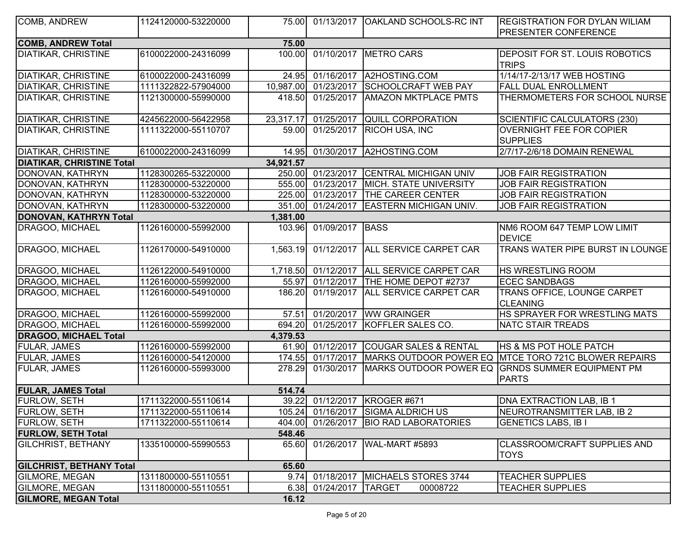| COMB, ANDREW                     | 1124120000-53220000 | 75.00     |                      | 01/13/2017   OAKLAND SCHOOLS-RC INT        | <b>REGISTRATION FOR DYLAN WILIAM</b>                             |
|----------------------------------|---------------------|-----------|----------------------|--------------------------------------------|------------------------------------------------------------------|
|                                  |                     |           |                      |                                            | <b>PRESENTER CONFERENCE</b>                                      |
| <b>COMB, ANDREW Total</b>        |                     | 75.00     |                      |                                            |                                                                  |
| <b>DIATIKAR, CHRISTINE</b>       | 6100022000-24316099 | 100.00    |                      | 01/10/2017 METRO CARS                      | DEPOSIT FOR ST. LOUIS ROBOTICS<br><b>TRIPS</b>                   |
| <b>DIATIKAR, CHRISTINE</b>       | 6100022000-24316099 |           |                      | 24.95 01/16/2017 A2HOSTING.COM             | 1/14/17-2/13/17 WEB HOSTING                                      |
| <b>DIATIKAR, CHRISTINE</b>       | 1111322822-57904000 |           | 10,987.00 01/23/2017 | <b>SCHOOLCRAFT WEB PAY</b>                 | <b>FALL DUAL ENROLLMENT</b>                                      |
| <b>DIATIKAR, CHRISTINE</b>       | 1121300000-55990000 | 418.50    |                      | 01/25/2017   AMAZON MKTPLACE PMTS          | THERMOMETERS FOR SCHOOL NURSE                                    |
| <b>DIATIKAR, CHRISTINE</b>       | 4245622000-56422958 | 23,317.17 |                      | 01/25/2017 QUILL CORPORATION               | SCIENTIFIC CALCULATORS (230)                                     |
| <b>DIATIKAR, CHRISTINE</b>       | 1111322000-55110707 | 59.00     | 01/25/2017           | <b>RICOH USA, INC</b>                      | <b>OVERNIGHT FEE FOR COPIER</b><br><b>SUPPLIES</b>               |
| <b>DIATIKAR, CHRISTINE</b>       | 6100022000-24316099 | 14.95     | 01/30/2017           | A2HOSTING.COM                              | 2/7/17-2/6/18 DOMAIN RENEWAL                                     |
| <b>DIATIKAR, CHRISTINE Total</b> |                     | 34,921.57 |                      |                                            |                                                                  |
| DONOVAN, KATHRYN                 | 1128300265-53220000 | 250.00    | 01/23/2017           | <b>CENTRAL MICHIGAN UNIV</b>               | JOB FAIR REGISTRATION                                            |
| DONOVAN, KATHRYN                 | 1128300000-53220000 | 555.00    | 01/23/2017           | <b>MICH. STATE UNIVERSITY</b>              | <b>JOB FAIR REGISTRATION</b>                                     |
| DONOVAN, KATHRYN                 | 1128300000-53220000 | 225.00    | 01/23/2017           | <b>THE CAREER CENTER</b>                   | <b>JOB FAIR REGISTRATION</b>                                     |
| DONOVAN, KATHRYN                 | 1128300000-53220000 | 351.00    | 01/24/2017           | <b>EASTERN MICHIGAN UNIV.</b>              | <b>JOB FAIR REGISTRATION</b>                                     |
| DONOVAN, KATHRYN Total           |                     | 1,381.00  |                      |                                            |                                                                  |
| DRAGOO, MICHAEL                  | 1126160000-55992000 | 103.96    | 01/09/2017 BASS      |                                            | NM6 ROOM 647 TEMP LOW LIMIT<br><b>DEVICE</b>                     |
| DRAGOO, MICHAEL                  | 1126170000-54910000 | 1,563.19  |                      | 01/12/2017 ALL SERVICE CARPET CAR          | TRANS WATER PIPE BURST IN LOUNGE                                 |
| DRAGOO, MICHAEL                  | 1126122000-54910000 |           |                      | 1,718.50 01/12/2017 ALL SERVICE CARPET CAR | HS WRESTLING ROOM                                                |
| DRAGOO, MICHAEL                  | 1126160000-55992000 | 55.97     | 01/12/2017           | THE HOME DEPOT #2737                       | <b>ECEC SANDBAGS</b>                                             |
| DRAGOO, MICHAEL                  | 1126160000-54910000 | 186.20    |                      | 01/19/2017 ALL SERVICE CARPET CAR          | TRANS OFFICE, LOUNGE CARPET<br><b>CLEANING</b>                   |
| DRAGOO, MICHAEL                  | 1126160000-55992000 | 57.51     |                      | 01/20/2017 WW GRAINGER                     | HS SPRAYER FOR WRESTLING MATS                                    |
| DRAGOO, MICHAEL                  | 1126160000-55992000 | 694.20    |                      | 01/25/2017   KOFFLER SALES CO.             | <b>NATC STAIR TREADS</b>                                         |
| <b>DRAGOO, MICHAEL Total</b>     |                     | 4,379.53  |                      |                                            |                                                                  |
| FULAR, JAMES                     | 1126160000-55992000 | 61.90     |                      | 01/12/2017 COUGAR SALES & RENTAL           | <b>HS &amp; MS POT HOLE PATCH</b>                                |
| FULAR, JAMES                     | 1126160000-54120000 | 174.55    | 01/17/2017           |                                            | MARKS OUTDOOR POWER EQ MTCE TORO 721C BLOWER REPAIRS             |
| FULAR, JAMES                     | 1126160000-55993000 | 278.29    | 01/30/2017           |                                            | MARKS OUTDOOR POWER EQ GRNDS SUMMER EQUIPMENT PM<br><b>PARTS</b> |
| <b>FULAR, JAMES Total</b>        |                     | 514.74    |                      |                                            |                                                                  |
| <b>FURLOW, SETH</b>              | 1711322000-55110614 |           |                      | 39.22 01/12/2017 KROGER #671               | DNA EXTRACTION LAB, IB 1                                         |
| <b>FURLOW, SETH</b>              | 1711322000-55110614 |           |                      | 105.24 01/16/2017 SIGMA ALDRICH US         | NEUROTRANSMITTER LAB, IB 2                                       |
| <b>FURLOW, SETH</b>              | 1711322000-55110614 | 404.00    |                      | 01/26/2017 BIO RAD LABORATORIES            | <b>GENETICS LABS, IB I</b>                                       |
| <b>FURLOW, SETH Total</b>        |                     | 548.46    |                      |                                            |                                                                  |
| <b>GILCHRIST, BETHANY</b>        | 1335100000-55990553 | 65.60     |                      | 01/26/2017   WAL-MART #5893                | CLASSROOM/CRAFT SUPPLIES AND<br><b>TOYS</b>                      |
| <b>GILCHRIST, BETHANY Total</b>  |                     | 65.60     |                      |                                            |                                                                  |
| <b>GILMORE, MEGAN</b>            | 1311800000-55110551 | 9.74      | 01/18/2017           | MICHAELS STORES 3744                       | <b>TEACHER SUPPLIES</b>                                          |
| <b>GILMORE, MEGAN</b>            | 1311800000-55110551 | 6.38      | 01/24/2017 TARGET    | 00008722                                   | <b>TEACHER SUPPLIES</b>                                          |
| <b>GILMORE, MEGAN Total</b>      |                     | 16.12     |                      |                                            |                                                                  |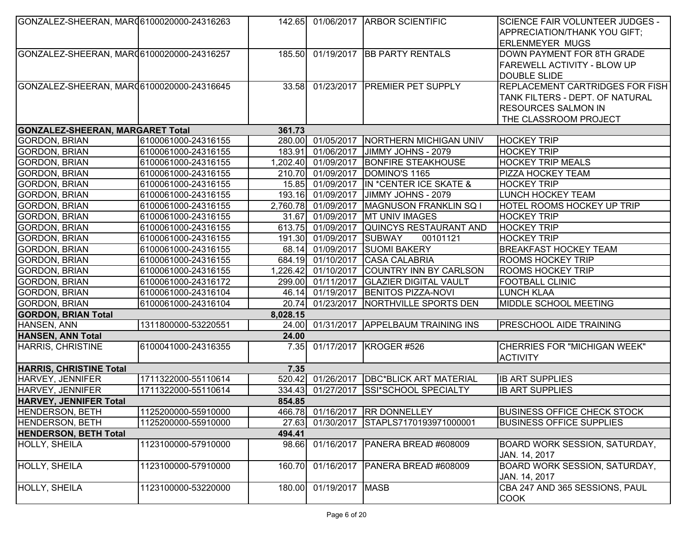| GONZALEZ-SHEERAN, MAR06100020000-24316263  |                     |          |                          | 142.65 01/06/2017 ARBOR SCIENTIFIC         | <b>SCIENCE FAIR VOLUNTEER JUDGES -</b>         |
|--------------------------------------------|---------------------|----------|--------------------------|--------------------------------------------|------------------------------------------------|
|                                            |                     |          |                          |                                            | APPRECIATION/THANK YOU GIFT;                   |
|                                            |                     |          |                          |                                            | <b>ERLENMEYER MUGS</b>                         |
| GONZALEZ-SHEERAN, MARQ6100020000-24316257  |                     |          |                          | 185.50 01/19/2017 BB PARTY RENTALS         | DOWN PAYMENT FOR 8TH GRADE                     |
|                                            |                     |          |                          |                                            | <b>FAREWELL ACTIVITY - BLOW UP</b>             |
|                                            |                     |          |                          |                                            | <b>DOUBLE SLIDE</b>                            |
| GONZALEZ-SHEERAN, MAR (6100020000-24316645 |                     |          |                          | 33.58 01/23/2017 PREMIER PET SUPPLY        | REPLACEMENT CARTRIDGES FOR FISH                |
|                                            |                     |          |                          |                                            | TANK FILTERS - DEPT. OF NATURAL                |
|                                            |                     |          |                          |                                            | <b>RESOURCES SALMON IN</b>                     |
|                                            |                     |          |                          |                                            | THE CLASSROOM PROJECT                          |
| <b>GONZALEZ-SHEERAN, MARGARET Total</b>    |                     | 361.73   |                          |                                            |                                                |
| <b>GORDON, BRIAN</b>                       | 6100061000-24316155 |          |                          | 280.00 01/05/2017 NORTHERN MICHIGAN UNIV   | <b>HOCKEY TRIP</b>                             |
| <b>GORDON, BRIAN</b>                       | 6100061000-24316155 | 183.91   |                          | 01/06/2017 JIMMY JOHNS - 2079              | <b>HOCKEY TRIP</b>                             |
| <b>GORDON, BRIAN</b>                       | 6100061000-24316155 |          |                          | 1,202.40 01/09/2017 BONFIRE STEAKHOUSE     | <b>HOCKEY TRIP MEALS</b>                       |
| <b>GORDON, BRIAN</b>                       | 6100061000-24316155 |          |                          | 210.70 01/09/2017 DOMINO'S 1165            | PIZZA HOCKEY TEAM                              |
| <b>GORDON, BRIAN</b>                       | 6100061000-24316155 |          |                          | 15.85 01/09/2017 IN *CENTER ICE SKATE &    | <b>HOCKEY TRIP</b>                             |
| <b>GORDON, BRIAN</b>                       | 6100061000-24316155 |          | 193.16 01/09/2017        | JIMMY JOHNS - 2079                         | LUNCH HOCKEY TEAM                              |
| <b>GORDON, BRIAN</b>                       | 6100061000-24316155 |          | 2,760.78 01/09/2017      | <b>MAGNUSON FRANKLIN SQ I</b>              | HOTEL ROOMS HOCKEY UP TRIP                     |
| <b>GORDON, BRIAN</b>                       | 6100061000-24316155 |          |                          | 31.67 01/09/2017 MT UNIV IMAGES            | <b>HOCKEY TRIP</b>                             |
| <b>GORDON, BRIAN</b>                       | 6100061000-24316155 | 613.75   | 01/09/2017               | QUINCYS RESTAURANT AND                     | <b>HOCKEY TRIP</b>                             |
| <b>GORDON, BRIAN</b>                       | 6100061000-24316155 |          | 191.30 01/09/2017 SUBWAY | 00101121                                   | <b>HOCKEY TRIP</b>                             |
| <b>GORDON, BRIAN</b>                       | 6100061000-24316155 | 68.14    |                          | 01/09/2017 SUOMI BAKERY                    | <b>BREAKFAST HOCKEY TEAM</b>                   |
| <b>GORDON, BRIAN</b>                       | 6100061000-24316155 |          |                          | 684.19 01/10/2017 CASA CALABRIA            | <b>ROOMS HOCKEY TRIP</b>                       |
| <b>GORDON, BRIAN</b>                       | 6100061000-24316155 |          |                          | 1,226.42 01/10/2017 COUNTRY INN BY CARLSON | <b>ROOMS HOCKEY TRIP</b>                       |
| <b>GORDON, BRIAN</b>                       | 6100061000-24316172 |          |                          | 299.00 01/11/2017 GLAZIER DIGITAL VAULT    | <b>FOOTBALL CLINIC</b>                         |
| <b>GORDON, BRIAN</b>                       | 6100061000-24316104 |          |                          | 46.14 01/19/2017 BENITOS PIZZA-NOVI        | <b>LUNCH KLAA</b>                              |
| <b>GORDON, BRIAN</b>                       | 6100061000-24316104 | 20.74    |                          | 01/23/2017   NORTHVILLE SPORTS DEN         | MIDDLE SCHOOL MEETING                          |
| <b>GORDON, BRIAN Total</b>                 |                     | 8,028.15 |                          |                                            |                                                |
| HANSEN, ANN                                | 1311800000-53220551 |          |                          | 24.00 01/31/2017 APPELBAUM TRAINING INS    | <b>PRESCHOOL AIDE TRAINING</b>                 |
| <b>HANSEN, ANN Total</b>                   |                     | 24.00    |                          |                                            |                                                |
| HARRIS, CHRISTINE                          | 6100041000-24316355 | 7.35     |                          | 01/17/2017   KROGER #526                   | CHERRIES FOR "MICHIGAN WEEK"                   |
|                                            |                     |          |                          |                                            | <b>ACTIVITY</b>                                |
| <b>HARRIS, CHRISTINE Total</b>             |                     | 7.35     |                          |                                            |                                                |
| HARVEY, JENNIFER                           | 1711322000-55110614 |          |                          | 520.42 01/26/2017 DBC*BLICK ART MATERIAL   | <b>IB ART SUPPLIES</b>                         |
| <b>HARVEY, JENNIFER</b>                    | 1711322000-55110614 | 334.43   |                          | 01/27/2017 SSI*SCHOOL SPECIALTY            | <b>IB ART SUPPLIES</b>                         |
| <b>HARVEY, JENNIFER Total</b>              |                     | 854.85   |                          |                                            |                                                |
| HENDERSON, BETH                            | 1125200000-55910000 |          |                          | 466.78 01/16/2017 RR DONNELLEY             | <b>BUSINESS OFFICE CHECK STOCK</b>             |
| <b>HENDERSON, BETH</b>                     | 1125200000-55910000 | 27.63    |                          | 01/30/2017 STAPLS7170193971000001          | <b>BUSINESS OFFICE SUPPLIES</b>                |
| <b>HENDERSON, BETH Total</b>               |                     | 494.41   |                          |                                            |                                                |
| HOLLY, SHEILA                              | 1123100000-57910000 | 98.66    |                          | 01/16/2017   PANERA BREAD #608009          | BOARD WORK SESSION, SATURDAY,<br>JAN. 14, 2017 |
| <b>HOLLY, SHEILA</b>                       | 1123100000-57910000 | 160.70   |                          | 01/16/2017   PANERA BREAD #608009          | BOARD WORK SESSION, SATURDAY,                  |
|                                            |                     |          |                          |                                            | JAN. 14, 2017                                  |
| <b>HOLLY, SHEILA</b>                       | 1123100000-53220000 | 180.00   | 01/19/2017   MASB        |                                            | CBA 247 AND 365 SESSIONS, PAUL                 |
|                                            |                     |          |                          |                                            | <b>COOK</b>                                    |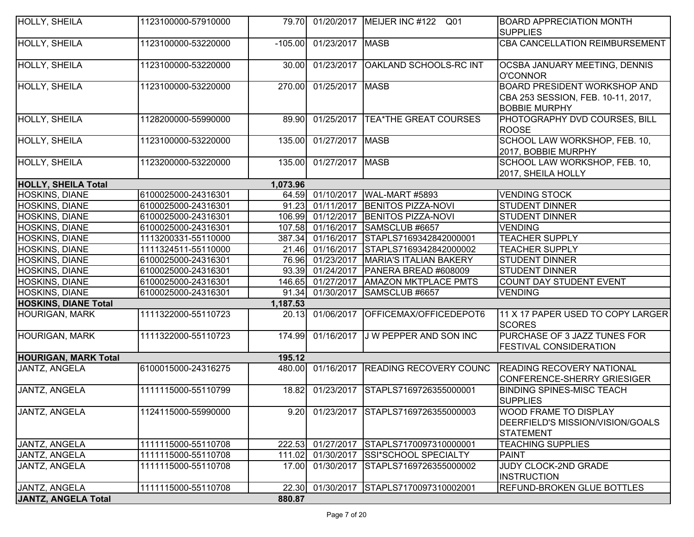| HOLLY, SHEILA               | 1123100000-57910000 |           |                   | 79.70 01/20/2017 MEIJER INC #122 Q01   | <b>BOARD APPRECIATION MONTH</b>                                                                   |
|-----------------------------|---------------------|-----------|-------------------|----------------------------------------|---------------------------------------------------------------------------------------------------|
|                             |                     |           |                   |                                        | <b>SUPPLIES</b>                                                                                   |
| <b>HOLLY, SHEILA</b>        | 1123100000-53220000 | $-105.00$ | 01/23/2017 MASB   |                                        | CBA CANCELLATION REIMBURSEMENT                                                                    |
| HOLLY, SHEILA               | 1123100000-53220000 | 30.00     | 01/23/2017        | <b>OAKLAND SCHOOLS-RC INT</b>          | <b>OCSBA JANUARY MEETING, DENNIS</b><br><b>O'CONNOR</b>                                           |
| HOLLY, SHEILA               | 1123100000-53220000 | 270.00    | 01/25/2017   MASB |                                        | <b>BOARD PRESIDENT WORKSHOP AND</b><br>CBA 253 SESSION, FEB. 10-11, 2017,<br><b>BOBBIE MURPHY</b> |
| HOLLY, SHEILA               | 1128200000-55990000 | 89.90     |                   | 01/25/2017   TEA*THE GREAT COURSES     | PHOTOGRAPHY DVD COURSES, BILL<br><b>ROOSE</b>                                                     |
| HOLLY, SHEILA               | 1123100000-53220000 | 135.00    | 01/27/2017   MASB |                                        | SCHOOL LAW WORKSHOP, FEB. 10,<br>2017, BOBBIE MURPHY                                              |
| HOLLY, SHEILA               | 1123200000-53220000 | 135.00    | 01/27/2017   MASB |                                        | SCHOOL LAW WORKSHOP, FEB. 10,<br>2017, SHEILA HOLLY                                               |
| <b>HOLLY, SHEILA Total</b>  |                     | 1,073.96  |                   |                                        |                                                                                                   |
| HOSKINS, DIANE              | 6100025000-24316301 | 64.59     | 01/10/2017        | WAL-MART #5893                         | <b>VENDING STOCK</b>                                                                              |
| HOSKINS, DIANE              | 6100025000-24316301 | 91.23     | 01/11/2017        | <b>BENITOS PIZZA-NOVI</b>              | <b>STUDENT DINNER</b>                                                                             |
| HOSKINS, DIANE              | 6100025000-24316301 | 106.99    | 01/12/2017        | <b>BENITOS PIZZA-NOVI</b>              | <b>STUDENT DINNER</b>                                                                             |
| HOSKINS, DIANE              | 6100025000-24316301 | 107.58    | 01/16/2017        | SAMSCLUB #6657                         | <b>VENDING</b>                                                                                    |
| <b>HOSKINS, DIANE</b>       | 1113200331-55110000 | 387.34    | 01/16/2017        | STAPLS7169342842000001                 | <b>TEACHER SUPPLY</b>                                                                             |
| <b>HOSKINS, DIANE</b>       | 1111324511-55110000 | 21.46     | 01/16/2017        | STAPLS7169342842000002                 | <b>TEACHER SUPPLY</b>                                                                             |
| HOSKINS, DIANE              | 6100025000-24316301 | 76.96     | 01/23/2017        | <b>MARIA'S ITALIAN BAKERY</b>          | <b>STUDENT DINNER</b>                                                                             |
| HOSKINS, DIANE              | 6100025000-24316301 | 93.39     | 01/24/2017        | PANERA BREAD #608009                   | <b>STUDENT DINNER</b>                                                                             |
| HOSKINS, DIANE              | 6100025000-24316301 | 146.65    | 01/27/2017        | <b>AMAZON MKTPLACE PMTS</b>            | COUNT DAY STUDENT EVENT                                                                           |
| <b>HOSKINS, DIANE</b>       | 6100025000-24316301 | 91.34     | 01/30/2017        | SAMSCLUB #6657                         | <b>VENDING</b>                                                                                    |
| <b>HOSKINS, DIANE Total</b> |                     | 1,187.53  |                   |                                        |                                                                                                   |
| <b>HOURIGAN, MARK</b>       | 1111322000-55110723 | 20.13     | 01/06/2017        | OFFICEMAX/OFFICEDEPOT6                 | 11 X 17 PAPER USED TO COPY LARGER<br><b>SCORES</b>                                                |
| <b>HOURIGAN, MARK</b>       | 1111322000-55110723 | 174.99    |                   | 01/16/2017 J W PEPPER AND SON INC      | PURCHASE OF 3 JAZZ TUNES FOR<br><b>FESTIVAL CONSIDERATION</b>                                     |
| <b>HOURIGAN, MARK Total</b> |                     | 195.12    |                   |                                        |                                                                                                   |
| JANTZ, ANGELA               | 6100015000-24316275 | 480.00    | 01/16/2017        | <b>READING RECOVERY COUNC</b>          | <b>READING RECOVERY NATIONAL</b><br><b>CONFERENCE-SHERRY GRIESIGER</b>                            |
| JANTZ, ANGELA               | 1111115000-55110799 | 18.82     | 01/23/2017        | STAPLS7169726355000001                 | <b>BINDING SPINES-MISC TEACH</b><br><b>SUPPLIES</b>                                               |
| JANTZ, ANGELA               | 1124115000-55990000 |           |                   | 9.20 01/23/2017 STAPLS7169726355000003 | <b>WOOD FRAME TO DISPLAY</b><br>DEERFIELD'S MISSION/VISION/GOALS<br><b>STATEMENT</b>              |
| <b>JANTZ, ANGELA</b>        | 1111115000-55110708 | 222.53    |                   | 01/27/2017 STAPLS7170097310000001      | <b>TEACHING SUPPLIES</b>                                                                          |
| JANTZ, ANGELA               | 1111115000-55110708 | 111.02    | 01/30/2017        | <b>SSI*SCHOOL SPECIALTY</b>            | <b>PAINT</b>                                                                                      |
| JANTZ, ANGELA               | 1111115000-55110708 | 17.00     | 01/30/2017        | STAPLS7169726355000002                 | JUDY CLOCK-2ND GRADE<br><b>INSTRUCTION</b>                                                        |
| JANTZ, ANGELA               | 1111115000-55110708 | 22.30     |                   | 01/30/2017 STAPLS7170097310002001      | <b>REFUND-BROKEN GLUE BOTTLES</b>                                                                 |
| JANTZ, ANGELA Total         |                     | 880.87    |                   |                                        |                                                                                                   |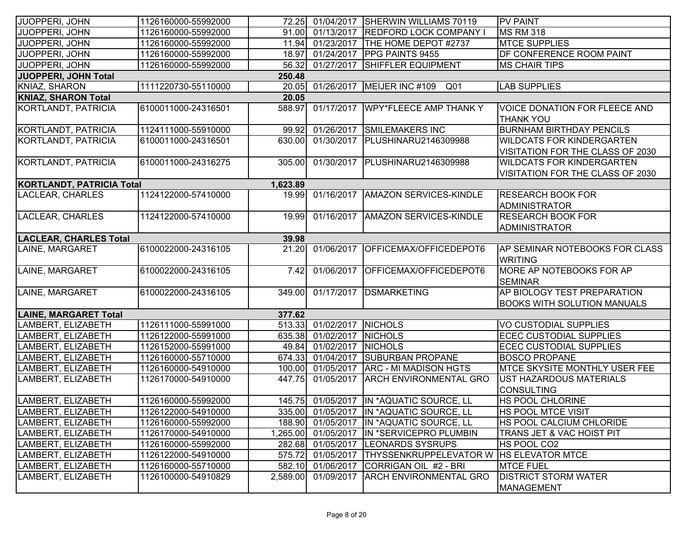| JUOPPERI, JOHN                   | 1126160000-55992000 |          | 72.25 01/04/2017   | <b>SHERWIN WILLIAMS 70119</b>                     | <b>PV PAINT</b>                                                      |
|----------------------------------|---------------------|----------|--------------------|---------------------------------------------------|----------------------------------------------------------------------|
| JUOPPERI, JOHN                   | 1126160000-55992000 |          | 91.00 01/13/2017   | <b>REDFORD LOCK COMPANY</b>                       | <b>MS RM 318</b>                                                     |
| JUOPPERI, JOHN                   | 1126160000-55992000 |          | 11.94 01/23/2017   | <b>THE HOME DEPOT #2737</b>                       | <b>MTCE SUPPLIES</b>                                                 |
| JUOPPERI, JOHN                   | 1126160000-55992000 | 18.97    | 01/24/2017         | <b>PPG PAINTS 9455</b>                            | <b>DF CONFERENCE ROOM PAINT</b>                                      |
| JUOPPERI, JOHN                   | 1126160000-55992000 | 56.32    | 01/27/2017         | <b>SHIFFLER EQUIPMENT</b>                         | <b>MS CHAIR TIPS</b>                                                 |
| <b>JUOPPERI, JOHN Total</b>      |                     | 250.48   |                    |                                                   |                                                                      |
| KNIAZ, SHARON                    | 1111220730-55110000 | 20.05    |                    | 01/26/2017   MEIJER INC #109<br>Q01               | <b>LAB SUPPLIES</b>                                                  |
| <b>KNIAZ, SHARON Total</b>       |                     | 20.05    |                    |                                                   |                                                                      |
| KORTLANDT, PATRICIA              | 6100011000-24316501 | 588.97   | 01/17/2017         | <b>WPY*FLEECE AMP THANK Y</b>                     | <b>VOICE DONATION FOR FLEECE AND</b><br><b>THANK YOU</b>             |
| KORTLANDT, PATRICIA              | 1124111000-55910000 | 99.92    | 01/26/2017         | <b>SMILEMAKERS INC</b>                            | <b>BURNHAM BIRTHDAY PENCILS</b>                                      |
| KORTLANDT, PATRICIA              | 6100011000-24316501 | 630.00   | 01/30/2017         | PLUSHINARU2146309988                              | <b>WILDCATS FOR KINDERGARTEN</b><br>VISITATION FOR THE CLASS OF 2030 |
| KORTLANDT, PATRICIA              | 6100011000-24316275 | 305.00   |                    | 01/30/2017 PLUSHINARU2146309988                   | <b>WILDCATS FOR KINDERGARTEN</b><br>VISITATION FOR THE CLASS OF 2030 |
| <b>KORTLANDT, PATRICIA Total</b> |                     | 1,623.89 |                    |                                                   |                                                                      |
| LACLEAR, CHARLES                 | 1124122000-57410000 | 19.99    | 01/16/2017         | <b>AMAZON SERVICES-KINDLE</b>                     | <b>RESEARCH BOOK FOR</b><br>ADMINISTRATOR                            |
| LACLEAR, CHARLES                 | 1124122000-57410000 | 19.99    | 01/16/2017         | <b>AMAZON SERVICES-KINDLE</b>                     | <b>RESEARCH BOOK FOR</b><br><b>ADMINISTRATOR</b>                     |
| <b>LACLEAR, CHARLES Total</b>    |                     | 39.98    |                    |                                                   |                                                                      |
| LAINE, MARGARET                  | 6100022000-24316105 | 21.20    | 01/06/2017         | OFFICEMAX/OFFICEDEPOT6                            | AP SEMINAR NOTEBOOKS FOR CLASS<br><b>WRITING</b>                     |
| LAINE, MARGARET                  | 6100022000-24316105 | 7.42     | 01/06/2017         | OFFICEMAX/OFFICEDEPOT6                            | MORE AP NOTEBOOKS FOR AP<br><b>SEMINAR</b>                           |
| LAINE, MARGARET                  | 6100022000-24316105 | 349.00   | 01/17/2017         | <b>DSMARKETING</b>                                | AP BIOLOGY TEST PREPARATION<br><b>BOOKS WITH SOLUTION MANUALS</b>    |
| <b>LAINE, MARGARET Total</b>     |                     | 377.62   |                    |                                                   |                                                                      |
| LAMBERT, ELIZABETH               | 1126111000-55991000 | 513.33   | 01/02/2017         | <b>NICHOLS</b>                                    | VO CUSTODIAL SUPPLIES                                                |
| LAMBERT, ELIZABETH               | 1126122000-55991000 | 635.38   | 01/02/2017         | <b>NICHOLS</b>                                    | <b>ECEC CUSTODIAL SUPPLIES</b>                                       |
| LAMBERT, ELIZABETH               | 1126152000-55991000 | 49.84    | 01/02/2017         | <b>NICHOLS</b>                                    | <b>ECEC CUSTODIAL SUPPLIES</b>                                       |
| LAMBERT, ELIZABETH               | 1126160000-55710000 |          | 674.33 01/04/2017  | <b>SUBURBAN PROPANE</b>                           | <b>BOSCO PROPANE</b>                                                 |
| LAMBERT, ELIZABETH               | 1126160000-54910000 |          | 100.00 01/05/2017  | <b>ARC - MI MADISON HGTS</b>                      | <b>MTCE SKYSITE MONTHLY USER FEE</b>                                 |
| LAMBERT, ELIZABETH               | 1126170000-54910000 | 447.75   | 01/05/2017         | <b>ARCH ENVIRONMENTAL GRO</b>                     | UST HAZARDOUS MATERIALS<br><b>CONSULTING</b>                         |
| LAMBERT, ELIZABETH               | 1126160000-55992000 |          |                    | 145.75 01/05/2017 IN *AQUATIC SOURCE, LL          | <b>HS POOL CHLORINE</b>                                              |
| LAMBERT, ELIZABETH               | 1126122000-54910000 |          |                    | 335.00 01/05/2017 IN *AQUATIC SOURCE, LL          | HS POOL MTCE VISIT                                                   |
| LAMBERT, ELIZABETH               | 1126160000-55992000 |          |                    | 188.90 01/05/2017 IN *AQUATIC SOURCE, LL          | HS POOL CALCIUM CHLORIDE                                             |
| LAMBERT, ELIZABETH               | 1126170000-54910000 |          | ,265.00 01/05/2017 | IN *SERVICEPRO PLUMBIN                            | TRANS JET & VAC HOIST PIT                                            |
| LAMBERT, ELIZABETH               | 1126160000-55992000 |          | 282.68 01/05/2017  | <b>LEONARDS SYSRUPS</b>                           | HS POOL CO2                                                          |
| LAMBERT, ELIZABETH               | 1126122000-54910000 | 575.72   | 01/05/2017         | <b>ITHYSSENKRUPPELEVATOR W   HS ELEVATOR MTCE</b> |                                                                      |
| LAMBERT, ELIZABETH               | 1126160000-55710000 | 582.10   | 01/06/2017         | CORRIGAN OIL #2 - BRI                             | <b>MTCE FUEL</b>                                                     |
| LAMBERT, ELIZABETH               | 1126100000-54910829 | 2,589.00 | 01/09/2017         | <b>ARCH ENVIRONMENTAL GRO</b>                     | <b>DISTRICT STORM WATER</b><br><b>MANAGEMENT</b>                     |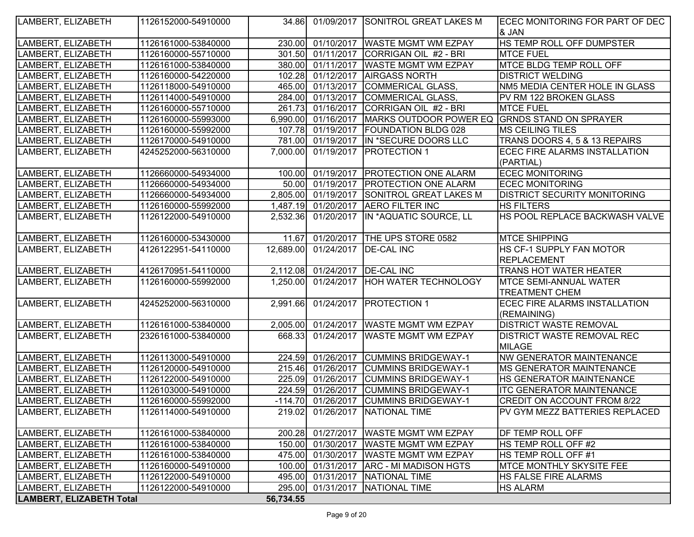| LAMBERT, ELIZABETH              | 1126152000-54910000 |           |                                | 34.86 01/09/2017 SONITROL GREAT LAKES M                             | ECEC MONITORING FOR PART OF DEC     |
|---------------------------------|---------------------|-----------|--------------------------------|---------------------------------------------------------------------|-------------------------------------|
|                                 |                     |           |                                |                                                                     | & JAN                               |
| LAMBERT, ELIZABETH              | 1126161000-53840000 | 230.00    |                                | 01/10/2017  WASTE MGMT WM EZPAY                                     | HS TEMP ROLL OFF DUMPSTER           |
| LAMBERT, ELIZABETH              | 1126160000-55710000 |           | 301.50 01/11/2017              | CORRIGAN OIL #2 - BRI                                               | <b>MTCE FUEL</b>                    |
| LAMBERT, ELIZABETH              | 1126161000-53840000 |           |                                | 380.00 01/11/2017 WASTE MGMT WM EZPAY                               | <b>MTCE BLDG TEMP ROLL OFF</b>      |
| LAMBERT, ELIZABETH              | 1126160000-54220000 |           |                                | 102.28 01/12/2017 AIRGASS NORTH                                     | <b>DISTRICT WELDING</b>             |
| LAMBERT, ELIZABETH              | 1126118000-54910000 |           |                                | 465.00 01/13/2017 COMMERICAL GLASS,                                 | NM5 MEDIA CENTER HOLE IN GLASS      |
| LAMBERT, ELIZABETH              | 1126114000-54910000 |           |                                | 284.00 01/13/2017 COMMERICAL GLASS,                                 | PV RM 122 BROKEN GLASS              |
| LAMBERT, ELIZABETH              | 1126160000-55710000 |           |                                | 261.73 01/16/2017 CORRIGAN OIL #2 - BRI                             | <b>MTCE FUEL</b>                    |
| LAMBERT, ELIZABETH              | 1126160000-55993000 |           |                                | 6,990.00 01/16/2017   MARKS OUTDOOR POWER EQ GRNDS STAND ON SPRAYER |                                     |
| LAMBERT, ELIZABETH              | 1126160000-55992000 |           |                                | 107.78 01/19/2017 FOUNDATION BLDG 028                               | <b>MS CEILING TILES</b>             |
| LAMBERT, ELIZABETH              | 1126170000-54910000 |           |                                | 781.00 01/19/2017 IN *SECURE DOORS LLC                              | TRANS DOORS 4, 5 & 13 REPAIRS       |
| LAMBERT, ELIZABETH              | 4245252000-56310000 | 7,000.00  | 01/19/2017                     | <b>PROTECTION 1</b>                                                 | ECEC FIRE ALARMS INSTALLATION       |
|                                 |                     |           |                                |                                                                     | (PARTIAL)                           |
| LAMBERT, ELIZABETH              | 1126660000-54934000 |           |                                | 100.00 01/19/2017 PROTECTION ONE ALARM                              | <b>ECEC MONITORING</b>              |
| LAMBERT, ELIZABETH              | 1126660000-54934000 |           | 50.00 01/19/2017               | <b>PROTECTION ONE ALARM</b>                                         | <b>ECEC MONITORING</b>              |
| LAMBERT, ELIZABETH              | 1126660000-54934000 | 2,805.00  | 01/19/2017                     | <b>SONITROL GREAT LAKES M</b>                                       | <b>DISTRICT SECURITY MONITORING</b> |
| LAMBERT, ELIZABETH              | 1126160000-55992000 |           |                                | 1,487.19 01/20/2017 AERO FILTER INC                                 | <b>HS FILTERS</b>                   |
| LAMBERT, ELIZABETH              | 1126122000-54910000 | 2,532.36  | 01/20/2017                     | IN *AQUATIC SOURCE, LL                                              | HS POOL REPLACE BACKWASH VALVE      |
|                                 |                     |           |                                |                                                                     |                                     |
| LAMBERT, ELIZABETH              | 1126160000-53430000 | 11.67     |                                | 01/20/2017 THE UPS STORE 0582                                       | <b>MTCE SHIPPING</b>                |
| LAMBERT, ELIZABETH              | 4126122951-54110000 | 12,689.00 |                                | 01/24/2017   DE-CAL INC                                             | HS CF-1 SUPPLY FAN MOTOR            |
|                                 |                     |           |                                |                                                                     | <b>REPLACEMENT</b>                  |
| LAMBERT, ELIZABETH              | 4126170951-54110000 |           | 2,112.08 01/24/2017 DE-CAL INC |                                                                     | <b>TRANS HOT WATER HEATER</b>       |
| LAMBERT, ELIZABETH              | 1126160000-55992000 | 1,250.00  |                                | 01/24/2017  HOH WATER TECHNOLOGY                                    | <b>MTCE SEMI-ANNUAL WATER</b>       |
|                                 |                     |           |                                |                                                                     | <b>TREATMENT CHEM</b>               |
| LAMBERT, ELIZABETH              | 4245252000-56310000 | 2,991.66  |                                | 01/24/2017   PROTECTION 1                                           | ECEC FIRE ALARMS INSTALLATION       |
|                                 |                     |           |                                |                                                                     | (REMAINING)                         |
| LAMBERT, ELIZABETH              | 1126161000-53840000 | 2,005.00  |                                | 01/24/2017   WASTE MGMT WM EZPAY                                    | <b>DISTRICT WASTE REMOVAL</b>       |
| LAMBERT, ELIZABETH              | 2326161000-53840000 | 668.33    |                                | 01/24/2017 WASTE MGMT WM EZPAY                                      | <b>DISTRICT WASTE REMOVAL REC</b>   |
|                                 |                     |           |                                |                                                                     | <b>MILAGE</b>                       |
| LAMBERT, ELIZABETH              | 1126113000-54910000 | 224.59    |                                | 01/26/2017 CUMMINS BRIDGEWAY-1                                      | <b>NW GENERATOR MAINTENANCE</b>     |
| LAMBERT, ELIZABETH              | 1126120000-54910000 | 215.46    | 01/26/2017                     | <b>CUMMINS BRIDGEWAY-1</b>                                          | <b>MS GENERATOR MAINTENANCE</b>     |
| LAMBERT, ELIZABETH              | 1126122000-54910000 | 225.09    | 01/26/2017                     | <b>CUMMINS BRIDGEWAY-1</b>                                          | HS GENERATOR MAINTENANCE            |
| LAMBERT, ELIZABETH              | 1126103000-54910000 | 224.59    | 01/26/2017                     | <b>CUMMINS BRIDGEWAY-1</b>                                          | <b>ITC GENERATOR MAINTENANCE</b>    |
| LAMBERT, ELIZABETH              | 1126160000-55992000 |           | $-114.70$ 01/26/2017           | <b>CUMMINS BRIDGEWAY-1</b>                                          | CREDIT ON ACCOUNT FROM 8/22         |
| LAMBERT, ELIZABETH              | 1126114000-54910000 |           |                                | 219.02 01/26/2017   NATIONAL TIME                                   | IPV GYM MEZZ BATTERIES REPLACED     |
|                                 |                     |           |                                |                                                                     |                                     |
| LAMBERT, ELIZABETH              | 1126161000-53840000 |           |                                | 200.28 01/27/2017 WASTE MGMT WM EZPAY                               | <b>DF TEMP ROLL OFF</b>             |
| LAMBERT, ELIZABETH              | 1126161000-53840000 |           | 150.00 01/30/2017              | <b>WASTE MGMT WM EZPAY</b>                                          | HS TEMP ROLL OFF #2                 |
| LAMBERT, ELIZABETH              | 1126161000-53840000 |           | 475.00 01/30/2017              | <b>WASTE MGMT WM EZPAY</b>                                          | HS TEMP ROLL OFF #1                 |
| LAMBERT, ELIZABETH              | 1126160000-54910000 |           |                                | 100.00 01/31/2017 ARC - MI MADISON HGTS                             | <b>MTCE MONTHLY SKYSITE FEE</b>     |
| LAMBERT, ELIZABETH              | 1126122000-54910000 |           |                                | 495.00 01/31/2017 NATIONAL TIME                                     | HS FALSE FIRE ALARMS                |
| LAMBERT, ELIZABETH              | 1126122000-54910000 |           |                                | 295.00 01/31/2017 NATIONAL TIME                                     | <b>HS ALARM</b>                     |
| <b>LAMBERT, ELIZABETH Total</b> |                     | 56,734.55 |                                |                                                                     |                                     |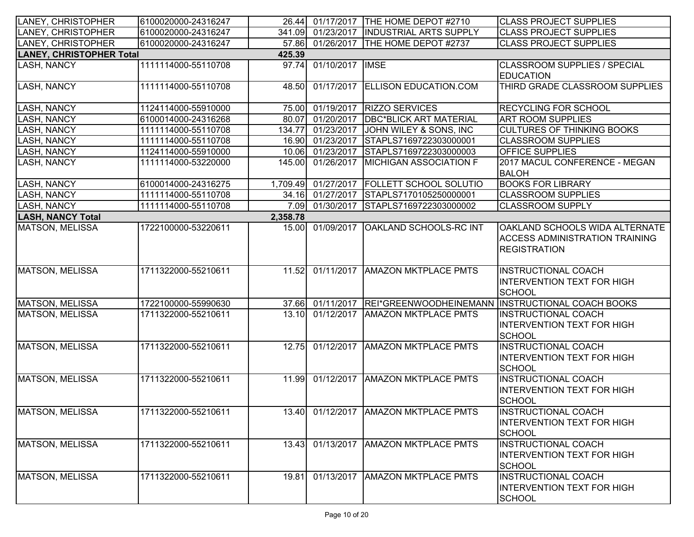| LANEY, CHRISTOPHER              | 6100020000-24316247 |          |                   | 26.44 01/17/2017 THE HOME DEPOT #2710      | <b>CLASS PROJECT SUPPLIES</b>                                                                         |
|---------------------------------|---------------------|----------|-------------------|--------------------------------------------|-------------------------------------------------------------------------------------------------------|
| <b>LANEY, CHRISTOPHER</b>       | 6100020000-24316247 |          |                   | 341.09 01/23/2017   INDUSTRIAL ARTS SUPPLY | <b>CLASS PROJECT SUPPLIES</b>                                                                         |
| LANEY, CHRISTOPHER              | 6100020000-24316247 | 57.86    |                   | 01/26/2017   THE HOME DEPOT #2737          | <b>CLASS PROJECT SUPPLIES</b>                                                                         |
| <b>LANEY, CHRISTOPHER Total</b> |                     | 425.39   |                   |                                            |                                                                                                       |
| LASH, NANCY                     | 1111114000-55110708 | 97.74    | 01/10/2017   IMSE |                                            | <b>CLASSROOM SUPPLIES / SPECIAL</b><br><b>EDUCATION</b>                                               |
| LASH, NANCY                     | 1111114000-55110708 | 48.50    |                   | 01/17/2017 ELLISON EDUCATION.COM           | THIRD GRADE CLASSROOM SUPPLIES                                                                        |
| <b>LASH, NANCY</b>              | 1124114000-55910000 |          |                   | 75.00 01/19/2017 RIZZO SERVICES            | <b>RECYCLING FOR SCHOOL</b>                                                                           |
| <b>LASH, NANCY</b>              | 6100014000-24316268 | 80.07    | 01/20/2017        | <b>DBC*BLICK ART MATERIAL</b>              | <b>ART ROOM SUPPLIES</b>                                                                              |
| LASH, NANCY                     | 1111114000-55110708 | 134.77   |                   | 01/23/2017 JOHN WILEY & SONS, INC          | <b>CULTURES OF THINKING BOOKS</b>                                                                     |
| <b>LASH, NANCY</b>              | 1111114000-55110708 |          |                   | 16.90 01/23/2017 STAPLS7169722303000001    | <b>CLASSROOM SUPPLIES</b>                                                                             |
| LASH, NANCY                     | 1124114000-55910000 |          |                   | 10.06 01/23/2017 STAPLS7169722303000003    | <b>OFFICE SUPPLIES</b>                                                                                |
| LASH, NANCY                     | 1111114000-53220000 | 145.00   | 01/26/2017        | <b>MICHIGAN ASSOCIATION F</b>              | 2017 MACUL CONFERENCE - MEGAN<br><b>BALOH</b>                                                         |
| <b>LASH, NANCY</b>              | 6100014000-24316275 |          |                   | 1,709.49 01/27/2017 FOLLETT SCHOOL SOLUTIO | <b>BOOKS FOR LIBRARY</b>                                                                              |
| <b>LASH, NANCY</b>              | 1111114000-55110708 |          |                   | 34.16 01/27/2017 STAPLS7170105250000001    | <b>CLASSROOM SUPPLIES</b>                                                                             |
| LASH, NANCY                     | 1111114000-55110708 | 7.09     | 01/30/2017        | STAPLS7169722303000002                     | <b>CLASSROOM SUPPLY</b>                                                                               |
| <b>LASH, NANCY Total</b>        |                     | 2,358.78 |                   |                                            |                                                                                                       |
| MATSON, MELISSA                 | 1722100000-53220611 | 15.00    | 01/09/2017        | OAKLAND SCHOOLS-RC INT                     | <b>OAKLAND SCHOOLS WIDA ALTERNATE</b><br><b>ACCESS ADMINISTRATION TRAINING</b><br><b>REGISTRATION</b> |
| MATSON, MELISSA                 | 1711322000-55210611 | 11.52    |                   | 01/11/2017   AMAZON MKTPLACE PMTS          | <b>INSTRUCTIONAL COACH</b><br><b>INTERVENTION TEXT FOR HIGH</b><br><b>SCHOOL</b>                      |
| <b>MATSON, MELISSA</b>          | 1722100000-55990630 |          |                   |                                            | 37.66 01/11/2017 REI*GREENWOODHEINEMANN INSTRUCTIONAL COACH BOOKS                                     |
| <b>MATSON, MELISSA</b>          | 1711322000-55210611 | 13.10    |                   | 01/12/2017   AMAZON MKTPLACE PMTS          | <b>INSTRUCTIONAL COACH</b><br><b>INTERVENTION TEXT FOR HIGH</b><br>SCHOOL                             |
| MATSON, MELISSA                 | 1711322000-55210611 | 12.75    |                   | 01/12/2017   AMAZON MKTPLACE PMTS          | <b>INSTRUCTIONAL COACH</b><br><b>INTERVENTION TEXT FOR HIGH</b><br>SCHOOL                             |
| MATSON, MELISSA                 | 1711322000-55210611 | 11.99    |                   | 01/12/2017 AMAZON MKTPLACE PMTS            | <b>INSTRUCTIONAL COACH</b><br><b>INTERVENTION TEXT FOR HIGH</b><br><b>SCHOOL</b>                      |
| <b>MATSON, MELISSA</b>          | 1711322000-55210611 |          |                   | 13.40 01/12/2017 AMAZON MKTPLACE PMTS      | <b>INSTRUCTIONAL COACH</b><br><b>IINTERVENTION TEXT FOR HIGH</b><br><b>SCHOOL</b>                     |
| MATSON, MELISSA                 | 1711322000-55210611 | 13.43    |                   | 01/13/2017   AMAZON MKTPLACE PMTS          | <b>INSTRUCTIONAL COACH</b><br><b>INTERVENTION TEXT FOR HIGH</b><br><b>SCHOOL</b>                      |
| MATSON, MELISSA                 | 1711322000-55210611 | 19.81    | 01/13/2017        | <b>AMAZON MKTPLACE PMTS</b>                | <b>INSTRUCTIONAL COACH</b><br><b>INTERVENTION TEXT FOR HIGH</b><br><b>SCHOOL</b>                      |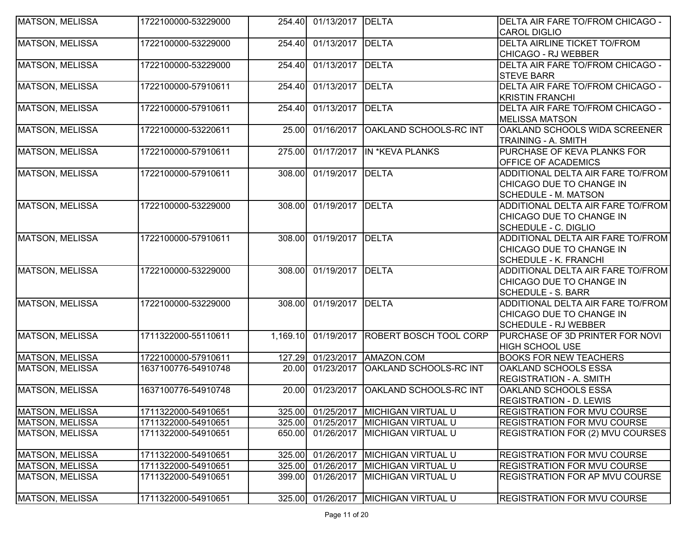| <b>MATSON, MELISSA</b> | 1722100000-53229000 | 254.40   | 01/13/2017 DELTA |                                      | DELTA AIR FARE TO/FROM CHICAGO -    |
|------------------------|---------------------|----------|------------------|--------------------------------------|-------------------------------------|
|                        |                     |          |                  |                                      | <b>CAROL DIGLIO</b>                 |
| <b>MATSON, MELISSA</b> | 1722100000-53229000 | 254.40   | 01/13/2017 DELTA |                                      | <b>DELTA AIRLINE TICKET TO/FROM</b> |
|                        |                     |          |                  |                                      | <b>CHICAGO - RJ WEBBER</b>          |
| <b>MATSON, MELISSA</b> | 1722100000-53229000 | 254.40   | 01/13/2017 DELTA |                                      | DELTA AIR FARE TO/FROM CHICAGO -    |
|                        |                     |          |                  |                                      | <b>STEVE BARR</b>                   |
| <b>MATSON, MELISSA</b> | 1722100000-57910611 | 254.40   | 01/13/2017 DELTA |                                      | DELTA AIR FARE TO/FROM CHICAGO -    |
|                        |                     |          |                  |                                      | <b>KRISTIN FRANCHI</b>              |
| <b>MATSON, MELISSA</b> | 1722100000-57910611 | 254.40   | 01/13/2017 DELTA |                                      | DELTA AIR FARE TO/FROM CHICAGO -    |
|                        |                     |          |                  |                                      | <b>MELISSA MATSON</b>               |
| MATSON, MELISSA        | 1722100000-53220611 | 25.00    | 01/16/2017       | <b>OAKLAND SCHOOLS-RC INT</b>        | OAKLAND SCHOOLS WIDA SCREENER       |
|                        |                     |          |                  |                                      | TRAINING - A. SMITH                 |
| <b>MATSON, MELISSA</b> | 1722100000-57910611 | 275.00   |                  | 01/17/2017 IN *KEVA PLANKS           | PURCHASE OF KEVA PLANKS FOR         |
|                        |                     |          |                  |                                      | OFFICE OF ACADEMICS                 |
| <b>MATSON, MELISSA</b> | 1722100000-57910611 | 308.00   | 01/19/2017 DELTA |                                      | ADDITIONAL DELTA AIR FARE TO/FROM   |
|                        |                     |          |                  |                                      | CHICAGO DUE TO CHANGE IN            |
|                        |                     |          |                  |                                      | <b>SCHEDULE - M. MATSON</b>         |
| <b>MATSON, MELISSA</b> | 1722100000-53229000 | 308.00   | 01/19/2017       | <b>DELTA</b>                         | ADDITIONAL DELTA AIR FARE TO/FROM   |
|                        |                     |          |                  |                                      | CHICAGO DUE TO CHANGE IN            |
|                        |                     |          |                  |                                      | SCHEDULE - C. DIGLIO                |
| <b>MATSON, MELISSA</b> | 1722100000-57910611 | 308.00   | 01/19/2017 DELTA |                                      | ADDITIONAL DELTA AIR FARE TO/FROM   |
|                        |                     |          |                  |                                      | CHICAGO DUE TO CHANGE IN            |
|                        |                     |          |                  |                                      | <b>SCHEDULE - K. FRANCHI</b>        |
| <b>MATSON, MELISSA</b> | 1722100000-53229000 | 308.00   | 01/19/2017 DELTA |                                      | ADDITIONAL DELTA AIR FARE TO/FROM   |
|                        |                     |          |                  |                                      | CHICAGO DUE TO CHANGE IN            |
|                        |                     |          |                  |                                      | <b>SCHEDULE - S. BARR</b>           |
| <b>MATSON, MELISSA</b> | 1722100000-53229000 | 308.00   | 01/19/2017 DELTA |                                      | ADDITIONAL DELTA AIR FARE TO/FROM   |
|                        |                     |          |                  |                                      | CHICAGO DUE TO CHANGE IN            |
|                        |                     |          |                  |                                      | <b>SCHEDULE - RJ WEBBER</b>         |
| <b>MATSON, MELISSA</b> | 1711322000-55110611 | 1,169.10 |                  | 01/19/2017 ROBERT BOSCH TOOL CORP    | PURCHASE OF 3D PRINTER FOR NOVI     |
|                        |                     |          |                  |                                      | <b>HIGH SCHOOL USE</b>              |
| <b>MATSON, MELISSA</b> | 1722100000-57910611 | 127.29   |                  | 01/23/2017 AMAZON.COM                | <b>BOOKS FOR NEW TEACHERS</b>       |
| <b>MATSON, MELISSA</b> | 1637100776-54910748 | 20.00    | 01/23/2017       | <b>OAKLAND SCHOOLS-RC INT</b>        | OAKLAND SCHOOLS ESSA                |
|                        |                     |          |                  |                                      | <b>REGISTRATION - A. SMITH</b>      |
| <b>MATSON, MELISSA</b> | 1637100776-54910748 | 20.00    | 01/23/2017       | OAKLAND SCHOOLS-RC INT               | OAKLAND SCHOOLS ESSA                |
|                        |                     |          |                  |                                      | <b>REGISTRATION - D. LEWIS</b>      |
| <b>MATSON, MELISSA</b> | 1711322000-54910651 |          |                  | 325.00 01/25/2017 MICHIGAN VIRTUAL U | <b>REGISTRATION FOR MVU COURSE</b>  |
| <b>MATSON, MELISSA</b> | 1711322000-54910651 | 325.00   |                  | 01/25/2017   MICHIGAN VIRTUAL U      | REGISTRATION FOR MVU COURSE         |
| <b>MATSON, MELISSA</b> | 1711322000-54910651 | 650.00   | 01/26/2017       | <b>MICHIGAN VIRTUAL U</b>            | REGISTRATION FOR (2) MVU COURSES    |
| <b>MATSON, MELISSA</b> | 1711322000-54910651 | 325.00   | 01/26/2017       | <b>MICHIGAN VIRTUAL U</b>            | REGISTRATION FOR MVU COURSE         |
| <b>MATSON, MELISSA</b> | 1711322000-54910651 | 325.00   | 01/26/2017       | <b>MICHIGAN VIRTUAL U</b>            | REGISTRATION FOR MVU COURSE         |
| <b>MATSON, MELISSA</b> | 1711322000-54910651 | 399.00   | 01/26/2017       | <b>MICHIGAN VIRTUAL U</b>            | REGISTRATION FOR AP MVU COURSE      |
| MATSON, MELISSA        | 1711322000-54910651 | 325.00   |                  | 01/26/2017   MICHIGAN VIRTUAL U      | <b>REGISTRATION FOR MVU COURSE</b>  |
|                        |                     |          |                  |                                      |                                     |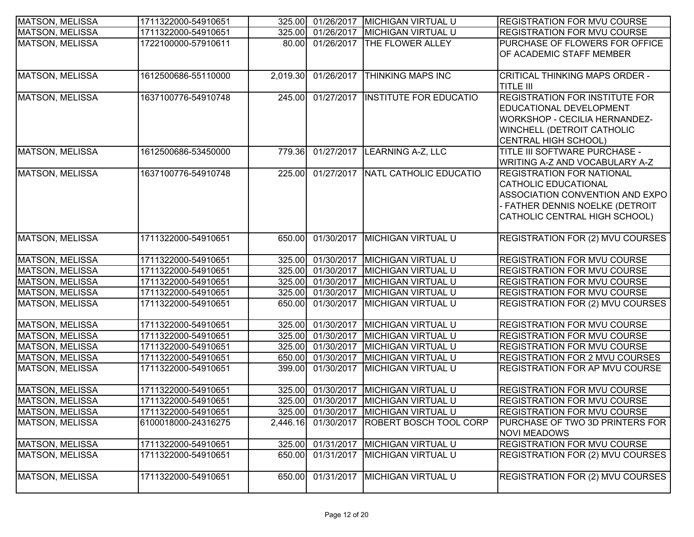| MATSON, MELISSA        | 1711322000-54910651 |          |            | 325.00 01/26/2017 MICHIGAN VIRTUAL U | <b>REGISTRATION FOR MVU COURSE</b>      |
|------------------------|---------------------|----------|------------|--------------------------------------|-----------------------------------------|
| <b>MATSON, MELISSA</b> | 1711322000-54910651 | 325.00   | 01/26/2017 | <b>MICHIGAN VIRTUAL U</b>            | <b>REGISTRATION FOR MVU COURSE</b>      |
| <b>MATSON, MELISSA</b> | 1722100000-57910611 | 80.00    |            | 01/26/2017   THE FLOWER ALLEY        | <b>PURCHASE OF FLOWERS FOR OFFICE</b>   |
|                        |                     |          |            |                                      | OF ACADEMIC STAFF MEMBER                |
|                        |                     |          |            |                                      |                                         |
| MATSON, MELISSA        | 1612500686-55110000 | 2,019.30 |            | 01/26/2017 THINKING MAPS INC         | CRITICAL THINKING MAPS ORDER -          |
|                        |                     |          |            |                                      | <b>TITLE III</b>                        |
| MATSON, MELISSA        | 1637100776-54910748 | 245.00   |            | 01/27/2017  INSTITUTE FOR EDUCATIO   | <b>REGISTRATION FOR INSTITUTE FOR</b>   |
|                        |                     |          |            |                                      | EDUCATIONAL DEVELOPMENT                 |
|                        |                     |          |            |                                      | <b>WORKSHOP - CECILIA HERNANDEZ-</b>    |
|                        |                     |          |            |                                      | <b>WINCHELL (DETROIT CATHOLIC</b>       |
|                        |                     |          |            |                                      | CENTRAL HIGH SCHOOL)                    |
| MATSON, MELISSA        | 1612500686-53450000 | 779.36   |            | 01/27/2017 LEARNING A-Z, LLC         | TITLE III SOFTWARE PURCHASE -           |
|                        |                     |          |            |                                      | WRITING A-Z AND VOCABULARY A-Z          |
| MATSON, MELISSA        | 1637100776-54910748 | 225.00   |            | 01/27/2017   NATL CATHOLIC EDUCATIO  | <b>REGISTRATION FOR NATIONAL</b>        |
|                        |                     |          |            |                                      | <b>CATHOLIC EDUCATIONAL</b>             |
|                        |                     |          |            |                                      | ASSOCIATION CONVENTION AND EXPO         |
|                        |                     |          |            |                                      | - FATHER DENNIS NOELKE (DETROIT         |
|                        |                     |          |            |                                      | CATHOLIC CENTRAL HIGH SCHOOL)           |
|                        |                     |          |            |                                      |                                         |
| <b>MATSON, MELISSA</b> | 1711322000-54910651 | 650.00   | 01/30/2017 | <b>MICHIGAN VIRTUAL U</b>            | <b>REGISTRATION FOR (2) MVU COURSES</b> |
|                        |                     |          |            |                                      |                                         |
| MATSON, MELISSA        | 1711322000-54910651 | 325.00   |            | 01/30/2017 MICHIGAN VIRTUAL U        | <b>REGISTRATION FOR MVU COURSE</b>      |
| MATSON, MELISSA        | 1711322000-54910651 | 325.00   | 01/30/2017 | <b>MICHIGAN VIRTUAL U</b>            | <b>REGISTRATION FOR MVU COURSE</b>      |
| MATSON, MELISSA        | 1711322000-54910651 | 325.00   | 01/30/2017 | <b>MICHIGAN VIRTUAL U</b>            | <b>REGISTRATION FOR MVU COURSE</b>      |
| MATSON, MELISSA        | 1711322000-54910651 | 325.00   | 01/30/2017 | <b>MICHIGAN VIRTUAL U</b>            | <b>REGISTRATION FOR MVU COURSE</b>      |
| MATSON, MELISSA        | 1711322000-54910651 | 650.00   | 01/30/2017 | <b>MICHIGAN VIRTUAL U</b>            | <b>REGISTRATION FOR (2) MVU COURSES</b> |
|                        |                     |          |            |                                      |                                         |
| <b>MATSON, MELISSA</b> | 1711322000-54910651 | 325.00   | 01/30/2017 | <b>MICHIGAN VIRTUAL U</b>            | <b>REGISTRATION FOR MVU COURSE</b>      |
| <b>MATSON, MELISSA</b> | 1711322000-54910651 | 325.00   | 01/30/2017 | <b>MICHIGAN VIRTUAL U</b>            | <b>REGISTRATION FOR MVU COURSE</b>      |
| <b>MATSON, MELISSA</b> | 1711322000-54910651 | 325.00   |            | 01/30/2017 MICHIGAN VIRTUAL U        | <b>REGISTRATION FOR MVU COURSE</b>      |
| MATSON, MELISSA        | 1711322000-54910651 | 650.00   | 01/30/2017 | <b>MICHIGAN VIRTUAL U</b>            | <b>REGISTRATION FOR 2 MVU COURSES</b>   |
| MATSON, MELISSA        | 1711322000-54910651 | 399.00   | 01/30/2017 | <b>MICHIGAN VIRTUAL U</b>            | <b>REGISTRATION FOR AP MVU COURSE</b>   |
|                        |                     |          |            |                                      |                                         |
| MATSON, MELISSA        | 1711322000-54910651 | 325.00   |            | 01/30/2017   MICHIGAN VIRTUAL U      | <b>REGISTRATION FOR MVU COURSE</b>      |
| <b>MATSON, MELISSA</b> | 1711322000-54910651 | 325.00   |            | 01/30/2017   MICHIGAN VIRTUAL U      | <b>REGISTRATION FOR MVU COURSE</b>      |
| MATSON, MELISSA        | 1711322000-54910651 |          |            | 325.00 01/30/2017 MICHIGAN VIRTUAL U | <b>REGISTRATION FOR MVU COURSE</b>      |
| MATSON, MELISSA        | 6100018000-24316275 | 2,446.16 | 01/30/2017 | <b>ROBERT BOSCH TOOL CORP</b>        | PURCHASE OF TWO 3D PRINTERS FOR         |
|                        |                     |          |            |                                      | <b>NOVI MEADOWS</b>                     |
| MATSON, MELISSA        | 1711322000-54910651 | 325.00   |            | 01/31/2017   MICHIGAN VIRTUAL U      | <b>REGISTRATION FOR MVU COURSE</b>      |
| MATSON, MELISSA        | 1711322000-54910651 | 650.00   | 01/31/2017 | <b>MICHIGAN VIRTUAL U</b>            | <b>REGISTRATION FOR (2) MVU COURSES</b> |
|                        |                     |          |            |                                      |                                         |
| MATSON, MELISSA        | 1711322000-54910651 | 650.00   | 01/31/2017 | MICHIGAN VIRTUAL U                   | <b>REGISTRATION FOR (2) MVU COURSES</b> |
|                        |                     |          |            |                                      |                                         |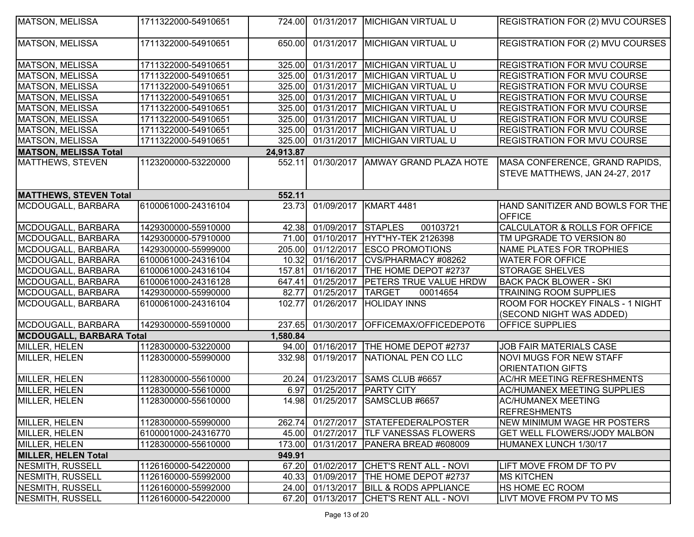| <b>MATSON, MELISSA</b>          | 1711322000-54910651 | 724.00    |                    | 01/31/2017   MICHIGAN VIRTUAL U         | REGISTRATION FOR (2) MVU COURSES                                  |
|---------------------------------|---------------------|-----------|--------------------|-----------------------------------------|-------------------------------------------------------------------|
|                                 |                     |           |                    |                                         |                                                                   |
| MATSON, MELISSA                 | 1711322000-54910651 | 650.00    |                    | 01/31/2017   MICHIGAN VIRTUAL U         | <b>REGISTRATION FOR (2) MVU COURSES</b>                           |
| MATSON, MELISSA                 | 1711322000-54910651 | 325.00    | 01/31/2017         | <b>MICHIGAN VIRTUAL U</b>               | <b>REGISTRATION FOR MVU COURSE</b>                                |
| <b>MATSON, MELISSA</b>          | 1711322000-54910651 | 325.00    | 01/31/2017         | <b>MICHIGAN VIRTUAL U</b>               | <b>REGISTRATION FOR MVU COURSE</b>                                |
| MATSON, MELISSA                 | 1711322000-54910651 |           | 325.00 01/31/2017  | <b>MICHIGAN VIRTUAL U</b>               | REGISTRATION FOR MVU COURSE                                       |
| <b>MATSON, MELISSA</b>          | 1711322000-54910651 | 325.00    | 01/31/2017         | <b>MICHIGAN VIRTUAL U</b>               | REGISTRATION FOR MVU COURSE                                       |
| MATSON, MELISSA                 | 1711322000-54910651 | 325.00    | 01/31/2017         | MICHIGAN VIRTUAL U                      | REGISTRATION FOR MVU COURSE                                       |
| MATSON, MELISSA                 | 1711322000-54910651 | 325.00    |                    | 01/31/2017   MICHIGAN VIRTUAL U         | REGISTRATION FOR MVU COURSE                                       |
| MATSON, MELISSA                 | 1711322000-54910651 |           |                    | 325.00 01/31/2017 MICHIGAN VIRTUAL U    | <b>REGISTRATION FOR MVU COURSE</b>                                |
| <b>MATSON, MELISSA</b>          | 1711322000-54910651 | 325.00    | 01/31/2017         | MICHIGAN VIRTUAL U                      | REGISTRATION FOR MVU COURSE                                       |
| <b>MATSON, MELISSA Total</b>    |                     | 24,913.87 |                    |                                         |                                                                   |
| MATTHEWS, STEVEN                | 1123200000-53220000 | 552.11    |                    | 01/30/2017 AMWAY GRAND PLAZA HOTE       | MASA CONFERENCE, GRAND RAPIDS,<br>STEVE MATTHEWS, JAN 24-27, 2017 |
| <b>MATTHEWS, STEVEN Total</b>   |                     | 552.11    |                    |                                         |                                                                   |
| MCDOUGALL, BARBARA              | 6100061000-24316104 | 23.73     | 01/09/2017         | KMART 4481                              | HAND SANITIZER AND BOWLS FOR THE<br><b>OFFICE</b>                 |
| MCDOUGALL, BARBARA              | 1429300000-55910000 | 42.38     | 01/09/2017 STAPLES | 00103721                                | CALCULATOR & ROLLS FOR OFFICE                                     |
| MCDOUGALL, BARBARA              | 1429300000-57910000 | 71.00     | 01/10/2017         | HYT*HY-TEK 2126398                      | TM UPGRADE TO VERSION 80                                          |
| MCDOUGALL, BARBARA              | 1429300000-55999000 | 205.00    |                    | 01/12/2017 ESCO PROMOTIONS              | NAME PLATES FOR TROPHIES                                          |
| MCDOUGALL, BARBARA              | 6100061000-24316104 | 10.32     | 01/16/2017         | CVS/PHARMACY #08262                     | <b>WATER FOR OFFICE</b>                                           |
| MCDOUGALL, BARBARA              | 6100061000-24316104 | 157.81    | 01/16/2017         | <b>THE HOME DEPOT #2737</b>             | <b>STORAGE SHELVES</b>                                            |
| MCDOUGALL, BARBARA              | 6100061000-24316128 | 647.41    | 01/25/2017         | <b>PETERS TRUE VALUE HRDW</b>           | <b>BACK PACK BLOWER - SKI</b>                                     |
| MCDOUGALL, BARBARA              | 1429300000-55990000 | 82.77     | 01/25/2017 TARGET  | 00014654                                | <b>TRAINING ROOM SUPPLIES</b>                                     |
| MCDOUGALL, BARBARA              | 6100061000-24316104 | 102.77    | 01/26/2017         | <b>HOLIDAY INNS</b>                     | ROOM FOR HOCKEY FINALS - 1 NIGHT                                  |
|                                 |                     |           |                    |                                         | (SECOND NIGHT WAS ADDED)                                          |
| MCDOUGALL, BARBARA              | 1429300000-55910000 | 237.65    | 01/30/2017         | OFFICEMAX/OFFICEDEPOT6                  | OFFICE SUPPLIES                                                   |
| <b>MCDOUGALL, BARBARA Total</b> |                     | 1,580.84  |                    |                                         |                                                                   |
| MILLER, HELEN                   | 1128300000-53220000 | 94.00     |                    | 01/16/2017 THE HOME DEPOT #2737         | JOB FAIR MATERIALS CASE                                           |
| MILLER, HELEN                   | 1128300000-55990000 | 332.98    | 01/19/2017         | NATIONAL PEN CO LLC                     | <b>NOVI MUGS FOR NEW STAFF</b>                                    |
|                                 |                     |           |                    |                                         | <b>ORIENTATION GIFTS</b>                                          |
| MILLER, HELEN                   | 1128300000-55610000 | 20.24     | 01/23/2017         | SAMS CLUB #6657                         | <b>AC/HR MEETING REFRESHMENTS</b>                                 |
| MILLER, HELEN                   | 1128300000-55610000 | 6.97      | 01/25/2017         | <b>PARTY CITY</b>                       | <b>AC/HUMANEX MEETING SUPPLIES</b>                                |
| MILLER, HELEN                   | 1128300000-55610000 |           | 14.98 01/25/2017   | SAMSCLUB #6657                          | <b>AC/HUMANEX MEETING</b><br> REFRESHMENTS                        |
| MILLER, HELEN                   | 1128300000-55990000 | 262.74    |                    | 01/27/2017 STATEFEDERALPOSTER           | NEW MINIMUM WAGE HR POSTERS                                       |
| MILLER, HELEN                   | 6100001000-24316770 | 45.00     |                    | 01/27/2017  TLF VANESSAS FLOWERS        | <b>GET WELL FLOWERS/JODY MALBON</b>                               |
| MILLER, HELEN                   | 1128300000-55610000 | 173.00    |                    | 01/31/2017   PANERA BREAD #608009       | HUMANEX LUNCH 1/30/17                                             |
| <b>MILLER, HELEN Total</b>      |                     | 949.91    |                    |                                         |                                                                   |
| <b>NESMITH, RUSSELL</b>         | 1126160000-54220000 | 67.20     | 01/02/2017         | <b>CHET'S RENT ALL - NOVI</b>           | LIFT MOVE FROM DF TO PV                                           |
| NESMITH, RUSSELL                | 1126160000-55992000 |           |                    | 40.33 01/09/2017 THE HOME DEPOT #2737   | <b>MS KITCHEN</b>                                                 |
| <b>NESMITH, RUSSELL</b>         | 1126160000-55992000 |           |                    | 24.00 01/13/2017 BILL & RODS APPLIANCE  | HS HOME EC ROOM                                                   |
| <b>NESMITH, RUSSELL</b>         | 1126160000-54220000 |           |                    | 67.20 01/13/2017 CHET'S RENT ALL - NOVI | LIVT MOVE FROM PV TO MS                                           |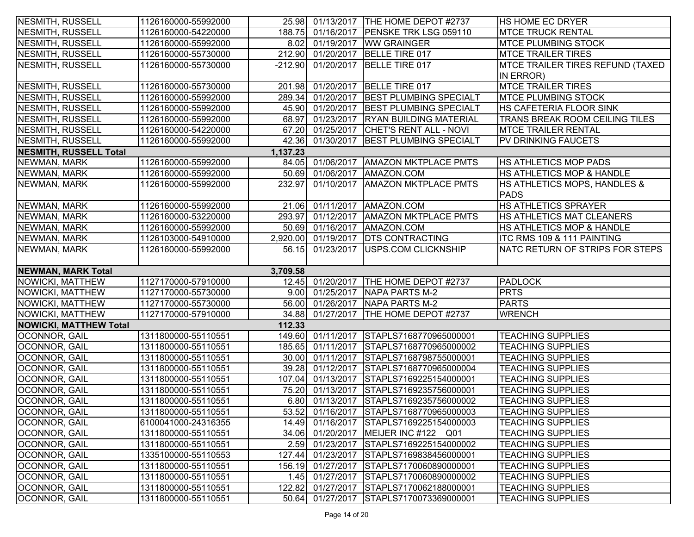| NESMITH, RUSSELL               | 1126160000-55992000                        |                 |                          | 25.98 01/13/2017 THE HOME DEPOT #2737            | <b>HS HOME EC DRYER</b>                              |
|--------------------------------|--------------------------------------------|-----------------|--------------------------|--------------------------------------------------|------------------------------------------------------|
| <b>NESMITH, RUSSELL</b>        | 1126160000-54220000                        | 188.75          |                          | 01/16/2017   PENSKE TRK LSG 059110               | <b>MTCE TRUCK RENTAL</b>                             |
| NESMITH, RUSSELL               | 1126160000-55992000                        |                 |                          | 8.02 01/19/2017 WW GRAINGER                      | <b>MTCE PLUMBING STOCK</b>                           |
| NESMITH, RUSSELL               | 1126160000-55730000                        | 212.90          | 01/20/2017               | BELLE TIRE 017                                   | <b>MTCE TRAILER TIRES</b>                            |
| NESMITH, RUSSELL               | 1126160000-55730000                        | $-212.90$       | 01/20/2017               | BELLE TIRE 017                                   | MTCE TRAILER TIRES REFUND (TAXED                     |
|                                |                                            |                 |                          |                                                  | IN ERROR)                                            |
| NESMITH, RUSSELL               | 1126160000-55730000                        | 201.98          |                          | 01/20/2017   BELLE TIRE 017                      | <b>MTCE TRAILER TIRES</b>                            |
| NESMITH, RUSSELL               | 1126160000-55992000                        | 289.34          | 01/20/2017               | <b>BEST PLUMBING SPECIALT</b>                    | <b>MTCE PLUMBING STOCK</b>                           |
| NESMITH, RUSSELL               | 1126160000-55992000                        | 45.90           | 01/20/2017               | <b>BEST PLUMBING SPECIALT</b>                    | HS CAFETERIA FLOOR SINK                              |
| NESMITH, RUSSELL               | 1126160000-55992000                        | 68.97           | 01/23/2017               | <b>RYAN BUILDING MATERIAL</b>                    | TRANS BREAK ROOM CEILING TILES                       |
| NESMITH, RUSSELL               | 1126160000-54220000                        |                 | 67.20 01/25/2017         | <b>CHET'S RENT ALL - NOVI</b>                    | <b>MTCE TRAILER RENTAL</b>                           |
| NESMITH, RUSSELL               | 1126160000-55992000                        |                 | 42.36 01/30/2017         | <b>BEST PLUMBING SPECIALT</b>                    | PV DRINKING FAUCETS                                  |
| <b>NESMITH, RUSSELL Total</b>  |                                            | 1,137.23        |                          |                                                  |                                                      |
| NEWMAN, MARK                   | 1126160000-55992000                        | 84.05           | 01/06/2017               | <b>AMAZON MKTPLACE PMTS</b>                      | HS ATHLETICS MOP PADS                                |
| NEWMAN, MARK                   | 1126160000-55992000                        |                 |                          | 50.69 01/06/2017 AMAZON.COM                      | HS ATHLETICS MOP & HANDLE                            |
| NEWMAN, MARK                   | 1126160000-55992000                        | 232.97          | 01/10/2017               | <b>AMAZON MKTPLACE PMTS</b>                      | HS ATHLETICS MOPS, HANDLES &                         |
|                                |                                            |                 |                          |                                                  | <b>PADS</b>                                          |
| NEWMAN, MARK                   | 1126160000-55992000                        |                 |                          | 21.06 01/11/2017 AMAZON.COM                      | HS ATHLETICS SPRAYER                                 |
| NEWMAN, MARK                   | 1126160000-53220000                        | 293.97          | 01/12/2017               | <b>AMAZON MKTPLACE PMTS</b>                      | HS ATHLETICS MAT CLEANERS                            |
| NEWMAN, MARK                   | 1126160000-55992000                        | 50.69           | 01/16/2017               | AMAZON.COM                                       | HS ATHLETICS MOP & HANDLE                            |
| NEWMAN, MARK                   | 1126103000-54910000                        | 2,920.00        | 01/19/2017               | <b>IDTS CONTRACTING</b>                          | ITC RMS 109 & 111 PAINTING                           |
| NEWMAN, MARK                   | 1126160000-55992000                        | 56.15           | 01/23/2017               | USPS.COM CLICKNSHIP                              | NATC RETURN OF STRIPS FOR STEPS                      |
|                                |                                            |                 |                          |                                                  |                                                      |
|                                |                                            |                 |                          |                                                  |                                                      |
| <b>NEWMAN, MARK Total</b>      |                                            | 3,709.58        |                          |                                                  |                                                      |
| <b>NOWICKI, MATTHEW</b>        | 1127170000-57910000                        | 12.45           | 01/20/2017               | <b>THE HOME DEPOT #2737</b>                      | <b>PADLOCK</b>                                       |
| <b>NOWICKI, MATTHEW</b>        | 1127170000-55730000                        | 9.00            | 01/25/2017               | NAPA PARTS M-2                                   | <b>PRTS</b>                                          |
| <b>NOWICKI, MATTHEW</b>        | 1127170000-55730000                        | 56.00           | $\sqrt{01/26/2017}$      | <b>NAPA PARTS M-2</b>                            | <b>PARTS</b>                                         |
| NOWICKI, MATTHEW               | 1127170000-57910000                        | 34.88           | 01/27/2017               | <b>THE HOME DEPOT #2737</b>                      | <b>WRENCH</b>                                        |
| <b>NOWICKI, MATTHEW Total</b>  |                                            | 112.33          |                          |                                                  |                                                      |
| OCONNOR, GAIL                  | 1311800000-55110551                        |                 |                          | 149.60 01/11/2017 STAPLS7168770965000001         | <b>TEACHING SUPPLIES</b>                             |
| OCONNOR, GAIL                  | 1311800000-55110551                        | 185.65          |                          | 01/11/2017 STAPLS7168770965000002                | <b>TEACHING SUPPLIES</b>                             |
| OCONNOR, GAIL                  | 1311800000-55110551                        | 30.00           |                          | 01/11/2017 STAPLS7168798755000001                | <b>TEACHING SUPPLIES</b>                             |
| <b>OCONNOR, GAIL</b>           | 1311800000-55110551                        | 39.28           | 01/12/2017               | STAPLS7168770965000004                           | <b>TEACHING SUPPLIES</b>                             |
| <b>OCONNOR, GAIL</b>           | 1311800000-55110551                        | 107.04          | 01/13/2017               | STAPLS7169225154000001                           | <b>TEACHING SUPPLIES</b>                             |
| <b>OCONNOR, GAIL</b>           | 1311800000-55110551                        | 75.20           | 01/13/2017               | STAPLS7169235756000001                           | <b>TEACHING SUPPLIES</b>                             |
| OCONNOR, GAIL                  | 1311800000-55110551                        |                 | 6.80 01/13/2017          | STAPLS7169235756000002                           | <b>TEACHING SUPPLIES</b>                             |
| OCONNOR, GAIL                  | 1311800000-55110551                        |                 |                          | 53.52 01/16/2017 STAPLS7168770965000003          | <b>TEACHING SUPPLIES</b>                             |
| <b>OCONNOR, GAIL</b>           | 6100041000-24316355                        |                 |                          | 14.49 01/16/2017 STAPLS7169225154000003          | <b>TEACHING SUPPLIES</b>                             |
| OCONNOR, GAIL                  | 1311800000-55110551                        |                 |                          | 34.06 01/20/2017 MEIJER INC #122 Q01             | <b>TEACHING SUPPLIES</b>                             |
| <b>OCONNOR, GAIL</b>           | 1311800000-55110551                        |                 |                          | 2.59 01/23/2017 STAPLS7169225154000002           | <b>TEACHING SUPPLIES</b>                             |
| OCONNOR, GAIL                  | 1335100000-55110553                        | 127.44          | 01/23/2017               | STAPLS7169838456000001                           | <b>TEACHING SUPPLIES</b>                             |
| <b>OCONNOR, GAIL</b>           | 1311800000-55110551                        | 156.19          | 01/27/2017               | STAPLS7170060890000001                           | <b>TEACHING SUPPLIES</b>                             |
| OCONNOR, GAIL                  | 1311800000-55110551                        | 1.45            | 01/27/2017               | STAPLS7170060890000002                           | <b>TEACHING SUPPLIES</b>                             |
| OCONNOR, GAIL<br>OCONNOR, GAIL | 1311800000-55110551<br>1311800000-55110551 | 122.82<br>50.64 | 01/27/2017<br>01/27/2017 | STAPLS7170062188000001<br>STAPLS7170073369000001 | <b>TEACHING SUPPLIES</b><br><b>TEACHING SUPPLIES</b> |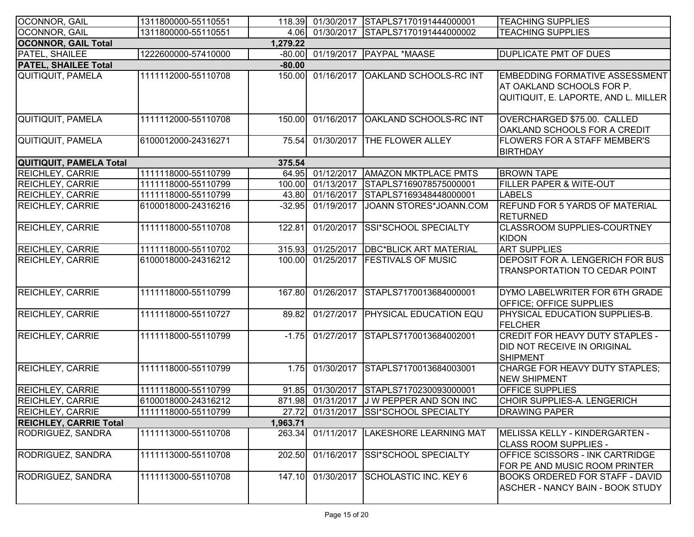| OCONNOR, GAIL                 | 1311800000-55110551 | 118.39   |            | 01/30/2017 STAPLS7170191444000001   | <b>TEACHING SUPPLIES</b>                                         |
|-------------------------------|---------------------|----------|------------|-------------------------------------|------------------------------------------------------------------|
| OCONNOR, GAIL                 | 1311800000-55110551 | 4.06     |            | 01/30/2017 STAPLS7170191444000002   | <b>TEACHING SUPPLIES</b>                                         |
| <b>OCONNOR, GAIL Total</b>    |                     | 1,279.22 |            |                                     |                                                                  |
| PATEL, SHAILEE                | 1222600000-57410000 | $-80.00$ |            | 01/19/2017   PAYPAL *MAASE          | <b>DUPLICATE PMT OF DUES</b>                                     |
| <b>PATEL, SHAILEE Total</b>   |                     | $-80.00$ |            |                                     |                                                                  |
| <b>QUITIQUIT, PAMELA</b>      | 1111112000-55110708 | 150.00   |            | 01/16/2017   OAKLAND SCHOOLS-RC INT | <b>EMBEDDING FORMATIVE ASSESSMENT</b>                            |
|                               |                     |          |            |                                     | AT OAKLAND SCHOOLS FOR P.                                        |
|                               |                     |          |            |                                     | QUITIQUIT, E. LAPORTE, AND L. MILLER                             |
| QUITIQUIT, PAMELA             | 1111112000-55110708 | 150.00   | 01/16/2017 | <b>OAKLAND SCHOOLS-RC INT</b>       | OVERCHARGED \$75.00. CALLED                                      |
|                               |                     |          |            |                                     | OAKLAND SCHOOLS FOR A CREDIT                                     |
| <b>QUITIQUIT, PAMELA</b>      | 6100012000-24316271 | 75.54    | 01/30/2017 | <b>THE FLOWER ALLEY</b>             | <b>FLOWERS FOR A STAFF MEMBER'S</b>                              |
|                               |                     |          |            |                                     | <b>BIRTHDAY</b>                                                  |
| QUITIQUIT, PAMELA Total       |                     | 375.54   |            |                                     |                                                                  |
| <b>REICHLEY, CARRIE</b>       | 1111118000-55110799 | 64.95    | 01/12/2017 | <b>AMAZON MKTPLACE PMTS</b>         | <b>BROWN TAPE</b>                                                |
| <b>REICHLEY, CARRIE</b>       | 1111118000-55110799 | 100.00   | 01/13/2017 | STAPLS7169078575000001              | FILLER PAPER & WITE-OUT                                          |
| <b>REICHLEY, CARRIE</b>       | 1111118000-55110799 | 43.80    | 01/16/2017 | STAPLS7169348448000001              | <b>LABELS</b>                                                    |
| <b>REICHLEY, CARRIE</b>       | 6100018000-24316216 | $-32.95$ | 01/19/2017 | JOANN STORES*JOANN.COM              | <b>REFUND FOR 5 YARDS OF MATERIAL</b><br><b>RETURNED</b>         |
| <b>REICHLEY, CARRIE</b>       | 1111118000-55110708 | 122.81   | 01/20/2017 | <b>SSI*SCHOOL SPECIALTY</b>         | <b>CLASSROOM SUPPLIES-COURTNEY</b><br><b>KIDON</b>               |
| <b>REICHLEY, CARRIE</b>       | 1111118000-55110702 | 315.93   | 01/25/2017 | <b>DBC*BLICK ART MATERIAL</b>       | <b>ART SUPPLIES</b>                                              |
| <b>REICHLEY, CARRIE</b>       | 6100018000-24316212 | 100.00   |            | 01/25/2017   FESTIVALS OF MUSIC     | DEPOSIT FOR A. LENGERICH FOR BUS                                 |
|                               |                     |          |            |                                     | TRANSPORTATION TO CEDAR POINT                                    |
| <b>REICHLEY, CARRIE</b>       | 1111118000-55110799 | 167.80   | 01/26/2017 | STAPLS7170013684000001              | DYMO LABELWRITER FOR 6TH GRADE<br><b>OFFICE: OFFICE SUPPLIES</b> |
| <b>REICHLEY, CARRIE</b>       | 1111118000-55110727 | 89.82    | 01/27/2017 | <b>PHYSICAL EDUCATION EQU</b>       | PHYSICAL EDUCATION SUPPLIES-B.                                   |
|                               |                     |          |            |                                     | <b>FELCHER</b>                                                   |
| <b>REICHLEY, CARRIE</b>       | 1111118000-55110799 | $-1.75$  |            | 01/27/2017 STAPLS7170013684002001   | <b>CREDIT FOR HEAVY DUTY STAPLES -</b>                           |
|                               |                     |          |            |                                     | DID NOT RECEIVE IN ORIGINAL                                      |
|                               |                     |          |            |                                     | <b>SHIPMENT</b>                                                  |
| <b>REICHLEY, CARRIE</b>       | 1111118000-55110799 | 1.75     | 01/30/2017 | STAPLS7170013684003001              | <b>CHARGE FOR HEAVY DUTY STAPLES;</b><br><b>NEW SHIPMENT</b>     |
| <b>REICHLEY, CARRIE</b>       | 1111118000-55110799 | 91.85    |            | 01/30/2017 STAPLS7170230093000001   | OFFICE SUPPLIES                                                  |
| <b>REICHLEY, CARRIE</b>       | 6100018000-24316212 | 871.98   |            | 01/31/2017 J W PEPPER AND SON INC   | CHOIR SUPPLIES-A. LENGERICH                                      |
| REICHLEY, CARRIE              | 1111118000-55110799 | 27.72    |            | 01/31/2017 SSI*SCHOOL SPECIALTY     | <b>DRAWING PAPER</b>                                             |
| <b>REICHLEY, CARRIE Total</b> |                     | 1,963.71 |            |                                     |                                                                  |
| RODRIGUEZ, SANDRA             | 1111113000-55110708 | 263.34   | 01/11/2017 | LAKESHORE LEARNING MAT              | MELISSA KELLY - KINDERGARTEN -<br><b>CLASS ROOM SUPPLIES -</b>   |
| RODRIGUEZ, SANDRA             | 1111113000-55110708 | 202.50   | 01/16/2017 | <b>SSI*SCHOOL SPECIALTY</b>         | <b>OFFICE SCISSORS - INK CARTRIDGE</b>                           |
|                               |                     |          |            |                                     | FOR PE AND MUSIC ROOM PRINTER                                    |
| RODRIGUEZ, SANDRA             | 1111113000-55110708 | 147.10   | 01/30/2017 | SCHOLASTIC INC. KEY 6               | <b>BOOKS ORDERED FOR STAFF - DAVID</b>                           |
|                               |                     |          |            |                                     | <b>ASCHER - NANCY BAIN - BOOK STUDY</b>                          |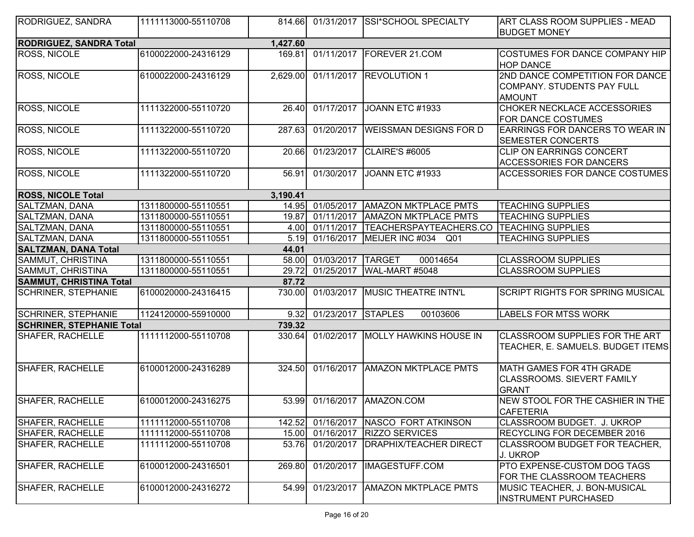| RODRIGUEZ, SANDRA                | 1111113000-55110708 | 814.661  |                    | 01/31/2017 SSI*SCHOOL SPECIALTY     | <b>ART CLASS ROOM SUPPLIES - MEAD</b><br><b>BUDGET MONEY</b>                   |
|----------------------------------|---------------------|----------|--------------------|-------------------------------------|--------------------------------------------------------------------------------|
| <b>RODRIGUEZ, SANDRA Total</b>   |                     | 1,427.60 |                    |                                     |                                                                                |
| <b>ROSS, NICOLE</b>              | 6100022000-24316129 | 169.81   |                    | 01/11/2017   FOREVER 21.COM         | <b>COSTUMES FOR DANCE COMPANY HIP</b><br><b>HOP DANCE</b>                      |
| <b>ROSS, NICOLE</b>              | 6100022000-24316129 | 2,629.00 |                    | 01/11/2017 REVOLUTION 1             | 2ND DANCE COMPETITION FOR DANCE<br>COMPANY. STUDENTS PAY FULL<br><b>AMOUNT</b> |
| <b>ROSS, NICOLE</b>              | 1111322000-55110720 | 26.40    |                    | 01/17/2017 JOANN ETC #1933          | CHOKER NECKLACE ACCESSORIES<br>FOR DANCE COSTUMES                              |
| <b>ROSS, NICOLE</b>              | 1111322000-55110720 | 287.63   | 01/20/2017         | <b>WEISSMAN DESIGNS FOR D</b>       | EARRINGS FOR DANCERS TO WEAR IN<br>SEMESTER CONCERTS                           |
| <b>ROSS, NICOLE</b>              | 1111322000-55110720 | 20.66    | 01/23/2017         | CLAIRE'S #6005                      | CLIP ON EARRINGS CONCERT<br><b>ACCESSORIES FOR DANCERS</b>                     |
| ROSS, NICOLE                     | 1111322000-55110720 | 56.91    | 01/30/2017         | JOANN ETC #1933                     | ACCESSORIES FOR DANCE COSTUMES                                                 |
| <b>ROSS, NICOLE Total</b>        |                     | 3,190.41 |                    |                                     |                                                                                |
| SALTZMAN, DANA                   | 1311800000-55110551 | 14.95    | 01/05/2017         | <b>AMAZON MKTPLACE PMTS</b>         | <b>TEACHING SUPPLIES</b>                                                       |
| SALTZMAN, DANA                   | 1311800000-55110551 | 19.87    | 01/11/2017         | <b>AMAZON MKTPLACE PMTS</b>         | <b>TEACHING SUPPLIES</b>                                                       |
| SALTZMAN, DANA                   | 1311800000-55110551 | 4.00     | 01/11/2017         | TEACHERSPAYTEACHERS.CO              | <b>TEACHING SUPPLIES</b>                                                       |
| SALTZMAN, DANA                   | 1311800000-55110551 | 5.19     |                    | 01/16/2017   MEIJER INC #034<br>Q01 | <b>TEACHING SUPPLIES</b>                                                       |
| <b>SALTZMAN, DANA Total</b>      |                     | 44.01    |                    |                                     |                                                                                |
| SAMMUT, CHRISTINA                | 1311800000-55110551 | 58.00    | 01/03/2017         | <b>TARGET</b><br>00014654           | <b>CLASSROOM SUPPLIES</b>                                                      |
| <b>SAMMUT, CHRISTINA</b>         | 1311800000-55110551 | 29.72    | 01/25/2017         | WAL-MART #5048                      | <b>CLASSROOM SUPPLIES</b>                                                      |
| <b>SAMMUT, CHRISTINA Total</b>   |                     | 87.72    |                    |                                     |                                                                                |
| <b>SCHRINER, STEPHANIE</b>       | 6100020000-24316415 | 730.00   |                    | 01/03/2017   MUSIC THEATRE INTN'L   | SCRIPT RIGHTS FOR SPRING MUSICAL                                               |
| <b>SCHRINER, STEPHANIE</b>       | 1124120000-55910000 | 9.32     | 01/23/2017 STAPLES | 00103606                            | <b>LABELS FOR MTSS WORK</b>                                                    |
| <b>SCHRINER, STEPHANIE Total</b> |                     | 739.32   |                    |                                     |                                                                                |
| <b>SHAFER, RACHELLE</b>          | 1111112000-55110708 | 330.64   |                    | 01/02/2017   MOLLY HAWKINS HOUSE IN | CLASSROOM SUPPLIES FOR THE ART<br>TEACHER, E. SAMUELS. BUDGET ITEMS            |
| <b>SHAFER, RACHELLE</b>          | 6100012000-24316289 | 324.50   |                    | 01/16/2017   AMAZON MKTPLACE PMTS   | MATH GAMES FOR 4TH GRADE<br><b>CLASSROOMS. SIEVERT FAMILY</b><br><b>GRANT</b>  |
| <b>SHAFER, RACHELLE</b>          | 6100012000-24316275 | 53.99    |                    | 01/16/2017   AMAZON.COM             | NEW STOOL FOR THE CASHIER IN THE<br><b>CAFETERIA</b>                           |
| <b>SHAFER, RACHELLE</b>          | 1111112000-55110708 | 142.52   |                    | 01/16/2017   NASCO FORT ATKINSON    | CLASSROOM BUDGET. J. UKROP                                                     |
| SHAFER, RACHELLE                 | 1111112000-55110708 | 15.00    |                    | 01/16/2017   RIZZO SERVICES         | RECYCLING FOR DECEMBER 2016                                                    |
| <b>SHAFER, RACHELLE</b>          | 1111112000-55110708 | 53.76    | 01/20/2017         | <b>DRAPHIX/TEACHER DIRECT</b>       | CLASSROOM BUDGET FOR TEACHER,<br>J. UKROP                                      |
| <b>SHAFER, RACHELLE</b>          | 6100012000-24316501 | 269.80   |                    | 01/20/2017  IMAGESTUFF.COM          | PTO EXPENSE-CUSTOM DOG TAGS<br>FOR THE CLASSROOM TEACHERS                      |
| <b>SHAFER, RACHELLE</b>          | 6100012000-24316272 | 54.99    |                    | 01/23/2017   AMAZON MKTPLACE PMTS   | MUSIC TEACHER, J. BON-MUSICAL<br><b>INSTRUMENT PURCHASED</b>                   |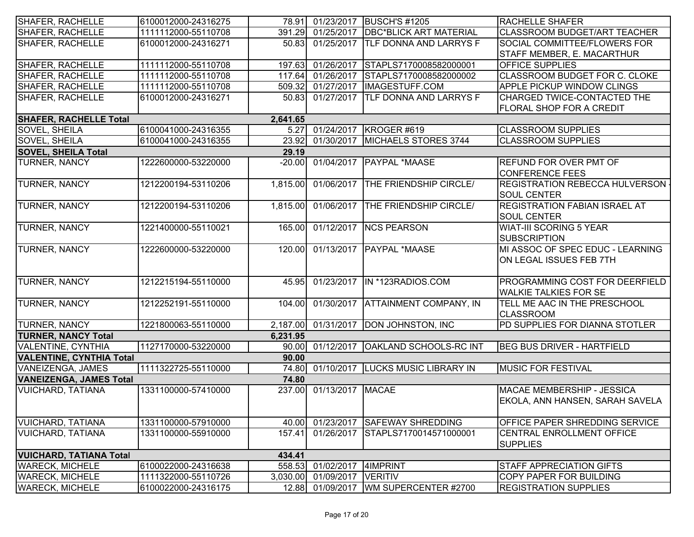| SHAFER, RACHELLE                | 6100012000-24316275 |          |                         | 78.91 01/23/2017 BUSCH'S #1205          | <b>RACHELLE SHAFER</b>                  |
|---------------------------------|---------------------|----------|-------------------------|-----------------------------------------|-----------------------------------------|
| <b>SHAFER, RACHELLE</b>         | 1111112000-55110708 | 391.29   | 01/25/2017              | <b>DBC*BLICK ART MATERIAL</b>           | <b>CLASSROOM BUDGET/ART TEACHER</b>     |
| <b>SHAFER, RACHELLE</b>         | 6100012000-24316271 | 50.83    | 01/25/2017              | <b>TLF DONNA AND LARRYS F</b>           | <b>SOCIAL COMMITTEE/FLOWERS FOR</b>     |
|                                 |                     |          |                         |                                         | STAFF MEMBER, E. MACARTHUR              |
| SHAFER, RACHELLE                | 1111112000-55110708 | 197.63   | 01/26/2017              | STAPLS7170008582000001                  | <b>OFFICE SUPPLIES</b>                  |
| <b>SHAFER, RACHELLE</b>         | 1111112000-55110708 | 117.64   | 01/26/2017              | STAPLS7170008582000002                  | CLASSROOM BUDGET FOR C. CLOKE           |
| SHAFER, RACHELLE                | 1111112000-55110708 | 509.32   | $\overline{01/27}/2017$ | IMAGESTUFF.COM                          | <b>APPLE PICKUP WINDOW CLINGS</b>       |
| SHAFER, RACHELLE                | 6100012000-24316271 | 50.83    |                         | 01/27/2017 TLF DONNA AND LARRYS F       | CHARGED TWICE-CONTACTED THE             |
|                                 |                     |          |                         |                                         | <b>FLORAL SHOP FOR A CREDIT</b>         |
| <b>SHAFER, RACHELLE Total</b>   |                     | 2,641.65 |                         |                                         |                                         |
| SOVEL, SHEILA                   | 6100041000-24316355 | 5.27     | 01/24/2017              | KROGER #619                             | <b>CLASSROOM SUPPLIES</b>               |
| SOVEL, SHEILA                   | 6100041000-24316355 | 23.92    | 01/30/2017              | MICHAELS STORES 3744                    | <b>CLASSROOM SUPPLIES</b>               |
| <b>SOVEL, SHEILA Total</b>      |                     | 29.19    |                         |                                         |                                         |
| TURNER, NANCY                   | 1222600000-53220000 | $-20.00$ | 01/04/2017              | <b>PAYPAL *MAASE</b>                    | <b>REFUND FOR OVER PMT OF</b>           |
|                                 |                     |          |                         |                                         | <b>CONFERENCE FEES</b>                  |
| TURNER, NANCY                   | 1212200194-53110206 | 1,815.00 | 01/06/2017              | THE FRIENDSHIP CIRCLE/                  | <b>REGISTRATION REBECCA HULVERSON -</b> |
|                                 |                     |          |                         |                                         | <b>SOUL CENTER</b>                      |
| TURNER, NANCY                   | 1212200194-53110206 | 1,815.00 | 01/06/2017              | THE FRIENDSHIP CIRCLE/                  | <b>REGISTRATION FABIAN ISRAEL AT</b>    |
|                                 |                     |          |                         |                                         | <b>SOUL CENTER</b>                      |
| <b>TURNER, NANCY</b>            | 1221400000-55110021 | 165.00   | 01/12/2017              | <b>NCS PEARSON</b>                      | <b>WIAT-III SCORING 5 YEAR</b>          |
|                                 |                     |          |                         |                                         | <b>SUBSCRIPTION</b>                     |
| <b>TURNER, NANCY</b>            | 1222600000-53220000 | 120.00   |                         | 01/13/2017   PAYPAL *MAASE              | MI ASSOC OF SPEC EDUC - LEARNING        |
|                                 |                     |          |                         |                                         | ON LEGAL ISSUES FEB 7TH                 |
|                                 |                     |          |                         |                                         |                                         |
| <b>TURNER, NANCY</b>            | 1212215194-55110000 | 45.95    |                         | 01/23/2017 IN *123RADIOS.COM            | PROGRAMMING COST FOR DEERFIELD          |
|                                 |                     |          |                         |                                         | <b>WALKIE TALKIES FOR SE</b>            |
| <b>TURNER, NANCY</b>            | 1212252191-55110000 | 104.00   |                         | 01/30/2017 ATTAINMENT COMPANY, IN       | TELL ME AAC IN THE PRESCHOOL            |
|                                 |                     |          |                         |                                         | <b>CLASSROOM</b>                        |
| TURNER, NANCY                   | 1221800063-55110000 |          | 2,187.00 01/31/2017     | DON JOHNSTON, INC                       | PD SUPPLIES FOR DIANNA STOTLER          |
| <b>TURNER, NANCY Total</b>      |                     | 6,231.95 |                         |                                         |                                         |
| <b>VALENTINE, CYNTHIA</b>       | 1127170000-53220000 | 90.00    | 01/12/2017              | <b>OAKLAND SCHOOLS-RC INT</b>           | <b>BEG BUS DRIVER - HARTFIELD</b>       |
| <b>VALENTINE, CYNTHIA Total</b> |                     | 90.00    |                         |                                         |                                         |
| <b>VANEIZENGA, JAMES</b>        | 1111322725-55110000 |          |                         | 74.80 01/10/2017 LUCKS MUSIC LIBRARY IN | <b>MUSIC FOR FESTIVAL</b>               |
| <b>VANEIZENGA, JAMES Total</b>  |                     | 74.80    |                         |                                         |                                         |
| VUICHARD, TATIANA               | 1331100000-57410000 | 237.00   | 01/13/2017 MACAE        |                                         | MACAE MEMBERSHIP - JESSICA              |
|                                 |                     |          |                         |                                         | EKOLA, ANN HANSEN, SARAH SAVELA         |
|                                 |                     |          |                         |                                         |                                         |
| VUICHARD, TATIANA               | 1331100000-57910000 | 40.00    | 01/23/2017              | <b>SAFEWAY SHREDDING</b>                | <b>OFFICE PAPER SHREDDING SERVICE</b>   |
| VUICHARD, TATIANA               | 1331100000-55910000 | 157.41   | 01/26/2017              | STAPLS7170014571000001                  | <b>CENTRAL ENROLLMENT OFFICE</b>        |
|                                 |                     |          |                         |                                         | <b>SUPPLIES</b>                         |
| <b>VUICHARD, TATIANA Total</b>  |                     | 434.41   |                         |                                         |                                         |
| <b>WARECK, MICHELE</b>          | 6100022000-24316638 | 558.53   | 01/02/2017              | 4IMPRINT                                | <b>STAFF APPRECIATION GIFTS</b>         |
| <b>WARECK, MICHELE</b>          | 1111322000-55110726 | 3,030.00 | 01/09/2017              | <b>VERITIV</b>                          | COPY PAPER FOR BUILDING                 |
| <b>WARECK, MICHELE</b>          | 6100022000-24316175 | 12.88    | 01/09/2017              | WM SUPERCENTER #2700                    | <b>REGISTRATION SUPPLIES</b>            |
|                                 |                     |          |                         |                                         |                                         |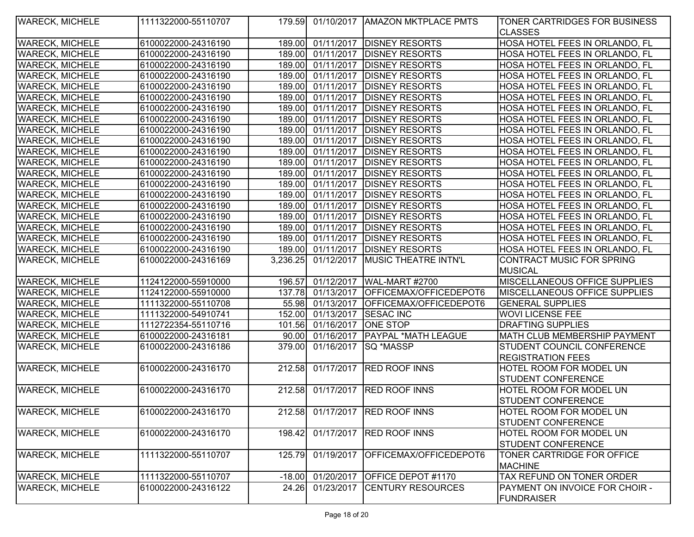| <b>WARECK, MICHELE</b> | 1111322000-55110707 | 179.591  |                      | 01/10/2017   AMAZON MKTPLACE PMTS       | <b>TONER CARTRIDGES FOR BUSINESS</b> |
|------------------------|---------------------|----------|----------------------|-----------------------------------------|--------------------------------------|
|                        |                     |          |                      |                                         | <b>CLASSES</b>                       |
| <b>WARECK, MICHELE</b> | 6100022000-24316190 | 189.00   |                      | 01/11/2017 DISNEY RESORTS               | HOSA HOTEL FEES IN ORLANDO, FL       |
| <b>WARECK, MICHELE</b> | 6100022000-24316190 | 189.00   |                      | 01/11/2017   DISNEY RESORTS             | HOSA HOTEL FEES IN ORLANDO, FL       |
| <b>WARECK, MICHELE</b> | 6100022000-24316190 | 189.00   | 01/11/2017           | <b>DISNEY RESORTS</b>                   | HOSA HOTEL FEES IN ORLANDO, FL       |
| <b>WARECK, MICHELE</b> | 6100022000-24316190 | 189.00   |                      | 01/11/2017   DISNEY RESORTS             | HOSA HOTEL FEES IN ORLANDO, FL       |
| <b>WARECK, MICHELE</b> | 6100022000-24316190 | 189.00   |                      | 01/11/2017 DISNEY RESORTS               | HOSA HOTEL FEES IN ORLANDO, FL       |
| <b>WARECK, MICHELE</b> | 6100022000-24316190 | 189.00   |                      | 01/11/2017   DISNEY RESORTS             | HOSA HOTEL FEES IN ORLANDO, FL       |
| <b>WARECK, MICHELE</b> | 6100022000-24316190 | 189.00   |                      | 01/11/2017   DISNEY RESORTS             | HOSA HOTEL FEES IN ORLANDO, FL       |
| <b>WARECK, MICHELE</b> | 6100022000-24316190 | 189.00   |                      | 01/11/2017   DISNEY RESORTS             | HOSA HOTEL FEES IN ORLANDO, FL       |
| <b>WARECK, MICHELE</b> | 6100022000-24316190 |          |                      | 189.00 01/11/2017 DISNEY RESORTS        | HOSA HOTEL FEES IN ORLANDO, FL       |
| <b>WARECK, MICHELE</b> | 6100022000-24316190 | 189.00   |                      | 01/11/2017   DISNEY RESORTS             | HOSA HOTEL FEES IN ORLANDO, FL       |
| <b>WARECK, MICHELE</b> | 6100022000-24316190 | 189.00   | 01/11/2017           | <b>DISNEY RESORTS</b>                   | HOSA HOTEL FEES IN ORLANDO, FL       |
| <b>WARECK, MICHELE</b> | 6100022000-24316190 | 189.00   | 01/11/2017           | <b>DISNEY RESORTS</b>                   | HOSA HOTEL FEES IN ORLANDO, FL       |
| <b>WARECK, MICHELE</b> | 6100022000-24316190 | 189.00   | 01/11/2017           | <b>DISNEY RESORTS</b>                   | HOSA HOTEL FEES IN ORLANDO, FL       |
| <b>WARECK, MICHELE</b> | 6100022000-24316190 | 189.00   | 01/11/2017           | <b>DISNEY RESORTS</b>                   | HOSA HOTEL FEES IN ORLANDO, FL       |
| <b>WARECK, MICHELE</b> | 6100022000-24316190 | 189.00   | 01/11/2017           | <b>DISNEY RESORTS</b>                   | HOSA HOTEL FEES IN ORLANDO, FL       |
| <b>WARECK, MICHELE</b> | 6100022000-24316190 | 189.00   | 01/11/2017           | <b>DISNEY RESORTS</b>                   | HOSA HOTEL FEES IN ORLANDO, FL       |
| <b>WARECK, MICHELE</b> | 6100022000-24316190 | 189.00   | 01/11/2017           | <b>DISNEY RESORTS</b>                   | HOSA HOTEL FEES IN ORLANDO, FL       |
| <b>WARECK, MICHELE</b> | 6100022000-24316190 | 189.00   | 01/11/2017           | <b>DISNEY RESORTS</b>                   | HOSA HOTEL FEES IN ORLANDO, FL       |
| <b>WARECK, MICHELE</b> | 6100022000-24316190 | 189.00   | 01/11/2017           | <b>DISNEY RESORTS</b>                   | HOSA HOTEL FEES IN ORLANDO, FL       |
| <b>WARECK, MICHELE</b> | 6100022000-24316190 | 189.00   | 01/11/2017           | <b>DISNEY RESORTS</b>                   | HOSA HOTEL FEES IN ORLANDO, FL       |
| <b>WARECK, MICHELE</b> | 6100022000-24316169 | 3,236.25 | 01/12/2017           | <b>MUSIC THEATRE INTN'L</b>             | CONTRACT MUSIC FOR SPRING            |
|                        |                     |          |                      |                                         | <b>MUSICAL</b>                       |
| <b>WARECK, MICHELE</b> | 1124122000-55910000 | 196.57   | 01/12/2017           | WAL-MART #2700                          | MISCELLANEOUS OFFICE SUPPLIES        |
| <b>WARECK, MICHELE</b> | 1124122000-55910000 | 137.78   | 01/13/2017           | OFFICEMAX/OFFICEDEPOT6                  | <b>MISCELLANEOUS OFFICE SUPPLIES</b> |
| <b>WARECK, MICHELE</b> | 1111322000-55110708 |          |                      | 55.98 01/13/2017 OFFICEMAX/OFFICEDEPOT6 | <b>GENERAL SUPPLIES</b>              |
| <b>WARECK, MICHELE</b> | 1111322000-54910741 | 152.00   | 01/13/2017 SESAC INC |                                         | <b>WOVI LICENSE FEE</b>              |
| <b>WARECK, MICHELE</b> | 1112722354-55110716 | 101.56   | 01/16/2017 ONE STOP  |                                         | <b>DRAFTING SUPPLIES</b>             |
| <b>WARECK, MICHELE</b> | 6100022000-24316181 | 90.00    |                      | 01/16/2017   PAYPAL *MATH LEAGUE        | <b>MATH CLUB MEMBERSHIP PAYMENT</b>  |
| <b>WARECK, MICHELE</b> | 6100022000-24316186 | 379.00   | 01/16/2017           | <b>SQ *MASSP</b>                        | STUDENT COUNCIL CONFERENCE           |
|                        |                     |          |                      |                                         | <b>REGISTRATION FEES</b>             |
| <b>WARECK, MICHELE</b> | 6100022000-24316170 | 212.58   |                      | 01/17/2017 RED ROOF INNS                | <b>HOTEL ROOM FOR MODEL UN</b>       |
|                        |                     |          |                      |                                         | STUDENT CONFERENCE                   |
| <b>WARECK, MICHELE</b> | 6100022000-24316170 | 212.58   |                      | 01/17/2017 RED ROOF INNS                | HOTEL ROOM FOR MODEL UN              |
|                        |                     |          |                      |                                         | STUDENT CONFERENCE                   |
| <b>WARECK, MICHELE</b> | 6100022000-24316170 |          |                      | 212.58 01/17/2017 IRED ROOF INNS        | HOTEL ROOM FOR MODEL UN              |
|                        |                     |          |                      |                                         | <b>STUDENT CONFERENCE</b>            |
| <b>WARECK, MICHELE</b> | 6100022000-24316170 | 198.42   |                      | 01/17/2017 RED ROOF INNS                | <b>HOTEL ROOM FOR MODEL UN</b>       |
|                        |                     |          |                      |                                         | STUDENT CONFERENCE                   |
| <b>WARECK, MICHELE</b> | 1111322000-55110707 | 125.79   | 01/19/2017           | OFFICEMAX/OFFICEDEPOT6                  | TONER CARTRIDGE FOR OFFICE           |
|                        |                     |          |                      |                                         | <b>MACHINE</b>                       |
| <b>WARECK, MICHELE</b> | 1111322000-55110707 | $-18.00$ | 01/20/2017           | <b>OFFICE DEPOT #1170</b>               | TAX REFUND ON TONER ORDER            |
| <b>WARECK, MICHELE</b> | 6100022000-24316122 | 24.26    | 01/23/2017           | <b>CENTURY RESOURCES</b>                | PAYMENT ON INVOICE FOR CHOIR -       |
|                        |                     |          |                      |                                         | <b>FUNDRAISER</b>                    |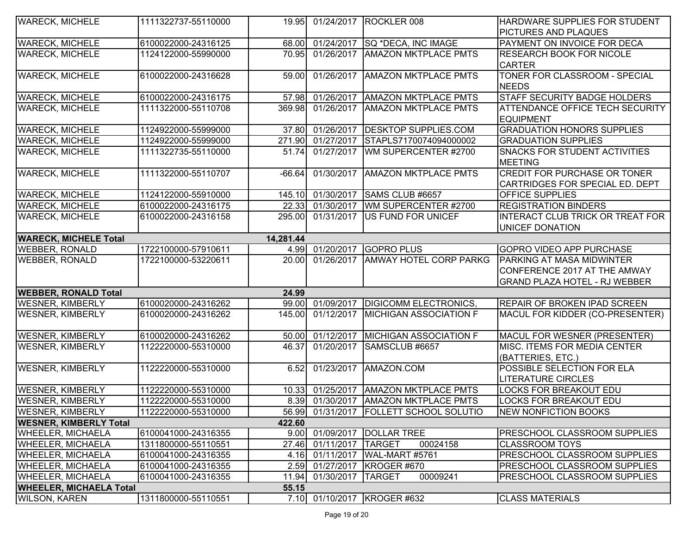| <b>WARECK, MICHELE</b>         | 1111322737-55110000 |           |                     | 19.95 01/24/2017 ROCKLER 008            | HARDWARE SUPPLIES FOR STUDENT        |
|--------------------------------|---------------------|-----------|---------------------|-----------------------------------------|--------------------------------------|
|                                |                     |           |                     |                                         | PICTURES AND PLAQUES                 |
| <b>WARECK, MICHELE</b>         | 6100022000-24316125 | 68.00     |                     | 01/24/2017 SQ *DECA, INC IMAGE          | PAYMENT ON INVOICE FOR DECA          |
| <b>WARECK, MICHELE</b>         | 1124122000-55990000 | 70.95     | 01/26/2017          | <b>AMAZON MKTPLACE PMTS</b>             | <b>RESEARCH BOOK FOR NICOLE</b>      |
|                                |                     |           |                     |                                         | <b>CARTER</b>                        |
| <b>WARECK, MICHELE</b>         | 6100022000-24316628 | 59.00     |                     | 01/26/2017   AMAZON MKTPLACE PMTS       | TONER FOR CLASSROOM - SPECIAL        |
|                                |                     |           |                     |                                         | <b>NEEDS</b>                         |
| <b>WARECK, MICHELE</b>         | 6100022000-24316175 | 57.98     |                     | 01/26/2017   AMAZON MKTPLACE PMTS       | <b>STAFF SECURITY BADGE HOLDERS</b>  |
| <b>WARECK, MICHELE</b>         | 1111322000-55110708 | 369.98    |                     | 01/26/2017   AMAZON MKTPLACE PMTS       | ATTENDANCE OFFICE TECH SECURITY      |
|                                |                     |           |                     |                                         | <b>EQUIPMENT</b>                     |
| <b>WARECK, MICHELE</b>         | 1124922000-55999000 | 37.80     | 01/26/2017          | <b>DESKTOP SUPPLIES.COM</b>             | <b>GRADUATION HONORS SUPPLIES</b>    |
| <b>WARECK, MICHELE</b>         | 1124922000-55999000 | 271.90    | 01/27/2017          | STAPLS7170074094000002                  | <b>GRADUATION SUPPLIES</b>           |
| <b>WARECK, MICHELE</b>         | 1111322735-55110000 | 51.74     | 01/27/2017          | WM SUPERCENTER #2700                    | SNACKS FOR STUDENT ACTIVITIES        |
|                                |                     |           |                     |                                         | <b>MEETING</b>                       |
| <b>WARECK, MICHELE</b>         | 1111322000-55110707 | $-66.64$  | 01/30/2017          | <b>AMAZON MKTPLACE PMTS</b>             | CREDIT FOR PURCHASE OR TONER         |
|                                |                     |           |                     |                                         | CARTRIDGES FOR SPECIAL ED. DEPT      |
| <b>WARECK, MICHELE</b>         | 1124122000-55910000 | 145.10    | 01/30/2017          | SAMS CLUB #6657                         | OFFICE SUPPLIES                      |
| <b>WARECK, MICHELE</b>         | 6100022000-24316175 | 22.33     | 01/30/2017          | WM SUPERCENTER #2700                    | <b>REGISTRATION BINDERS</b>          |
| <b>WARECK, MICHELE</b>         | 6100022000-24316158 | 295.00    | 01/31/2017          | US FUND FOR UNICEF                      | INTERACT CLUB TRICK OR TREAT FOR     |
|                                |                     |           |                     |                                         | <b>UNICEF DONATION</b>               |
| <b>WARECK, MICHELE Total</b>   |                     | 14,281.44 |                     |                                         |                                      |
| <b>WEBBER, RONALD</b>          | 1722100000-57910611 | 4.99      |                     | 01/20/2017 GOPRO PLUS                   | <b>GOPRO VIDEO APP PURCHASE</b>      |
| <b>WEBBER, RONALD</b>          | 1722100000-53220611 | 20.00     |                     | 01/26/2017   AMWAY HOTEL CORP PARKG     | PARKING AT MASA MIDWINTER            |
|                                |                     |           |                     |                                         | CONFERENCE 2017 AT THE AMWAY         |
|                                |                     |           |                     |                                         | <b>GRAND PLAZA HOTEL - RJ WEBBER</b> |
| <b>WEBBER, RONALD Total</b>    |                     | 24.99     |                     |                                         |                                      |
| <b>WESNER, KIMBERLY</b>        | 6100020000-24316262 | 99.00     | 01/09/2017          | <b>DIGICOMM ELECTRONICS,</b>            | <b>REPAIR OF BROKEN IPAD SCREEN</b>  |
| <b>WESNER, KIMBERLY</b>        | 6100020000-24316262 | 145.00    |                     | 01/12/2017 MICHIGAN ASSOCIATION F       | MACUL FOR KIDDER (CO-PRESENTER)      |
| <b>WESNER, KIMBERLY</b>        | 6100020000-24316262 | 50.00     |                     | 01/12/2017 MICHIGAN ASSOCIATION F       | MACUL FOR WESNER (PRESENTER)         |
| <b>WESNER, KIMBERLY</b>        | 1122220000-55310000 | 46.37     |                     | 01/20/2017 SAMSCLUB #6657               | MISC. ITEMS FOR MEDIA CENTER         |
|                                |                     |           |                     |                                         | (BATTERIES, ETC.)                    |
| <b>WESNER, KIMBERLY</b>        | 1122220000-55310000 | 6.52      |                     | 01/23/2017   AMAZON.COM                 | POSSIBLE SELECTION FOR ELA           |
|                                |                     |           |                     |                                         | <b>LITERATURE CIRCLES</b>            |
| <b>WESNER, KIMBERLY</b>        | 1122220000-55310000 | 10.33     |                     | 01/25/2017 AMAZON MKTPLACE PMTS         | <b>LOCKS FOR BREAKOUT EDU</b>        |
| <b>WESNER, KIMBERLY</b>        | 1122220000-55310000 |           |                     | 8.39 01/30/2017 AMAZON MKTPLACE PMTS    | <b>LOCKS FOR BREAKOUT EDU</b>        |
| <b>WESNER, KIMBERLY</b>        | 1122220000-55310000 |           |                     | 56.99 01/31/2017 FOLLETT SCHOOL SOLUTIO | <b>NEW NONFICTION BOOKS</b>          |
| <b>WESNER, KIMBERLY Total</b>  |                     | 422.60    |                     |                                         |                                      |
| <b>WHEELER, MICHAELA</b>       | 6100041000-24316355 | 9.00      |                     | 01/09/2017   DOLLAR TREE                | <b>PRESCHOOL CLASSROOM SUPPLIES</b>  |
| <b>WHEELER, MICHAELA</b>       | 1311800000-55110551 | 27.46     | 01/11/2017   TARGET | 00024158                                | <b>CLASSROOM TOYS</b>                |
| <b>WHEELER, MICHAELA</b>       | 6100041000-24316355 | 4.16      | 01/11/2017          | WAL-MART #5761                          | PRESCHOOL CLASSROOM SUPPLIES         |
| <b>WHEELER, MICHAELA</b>       | 6100041000-24316355 | 2.59      | 01/27/2017          | KROGER#670                              | PRESCHOOL CLASSROOM SUPPLIES         |
| <b>WHEELER, MICHAELA</b>       | 6100041000-24316355 | 11.94     | 01/30/2017          | 00009241<br><b>TARGET</b>               | PRESCHOOL CLASSROOM SUPPLIES         |
| <b>WHEELER, MICHAELA Total</b> |                     | 55.15     |                     |                                         |                                      |
| <b>WILSON, KAREN</b>           | 1311800000-55110551 |           |                     | 7.10 01/10/2017 KROGER #632             | <b>CLASS MATERIALS</b>               |